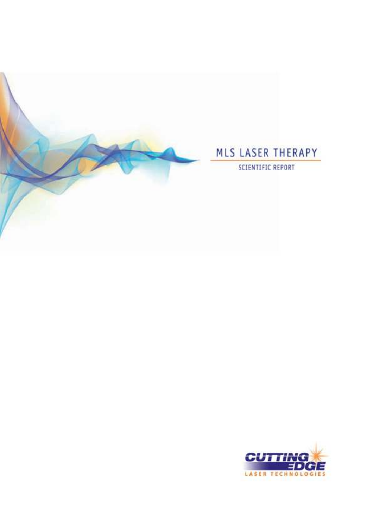

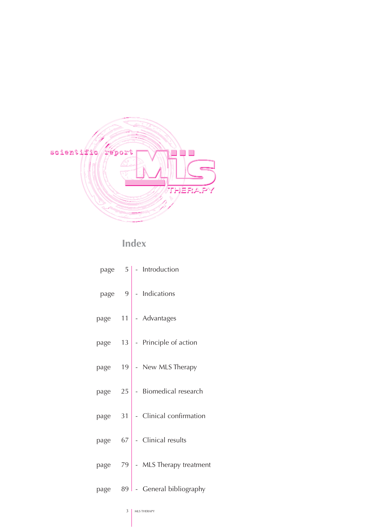

**Index**

| page | 5  | - Introduction          |
|------|----|-------------------------|
| page | 9  | - Indications           |
| page | 11 | - Advantages            |
| page | 13 | - Principle of action   |
| page | 19 | - New MLS Therapy       |
| page | 25 | - Biomedical research   |
| page | 31 | - Clinical confirmation |
| page | 67 | - Clinical results      |
| page | 79 | - MLS Therapy treatment |
| page | 89 | - General bibliography  |

3 | MLS THERAPY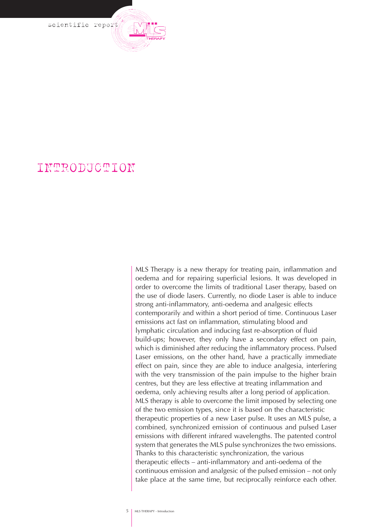## *INTRODUCTION*

MLS Therapy is a new therapy for treating pain, inflammation and oedema and for repairing superficial lesions. It was developed in order to overcome the limits of traditional Laser therapy, based on the use of diode lasers. Currently, no diode Laser is able to induce strong anti-inflammatory, anti-oedema and analgesic effects contemporarily and within a short period of time. Continuous Laser emissions act fast on inflammation, stimulating blood and lymphatic circulation and inducing fast re-absorption of fluid build-ups; however, they only have a secondary effect on pain, which is diminished after reducing the inflammatory process. Pulsed Laser emissions, on the other hand, have a practically immediate effect on pain, since they are able to induce analgesia, interfering with the very transmission of the pain impulse to the higher brain centres, but they are less effective at treating inflammation and oedema, only achieving results after a long period of application. MLS therapy is able to overcome the limit imposed by selecting one of the two emission types, since it is based on the characteristic therapeutic properties of a new Laser pulse. It uses an MLS pulse, a combined, synchronized emission of continuous and pulsed Laser emissions with different infrared wavelengths. The patented control system that generates the MLS pulse synchronizes the two emissions. Thanks to this characteristic synchronization, the various therapeutic effects – anti-inflammatory and anti-oedema of the continuous emission and analgesic of the pulsed emission – not only take place at the same time, but reciprocally reinforce each other.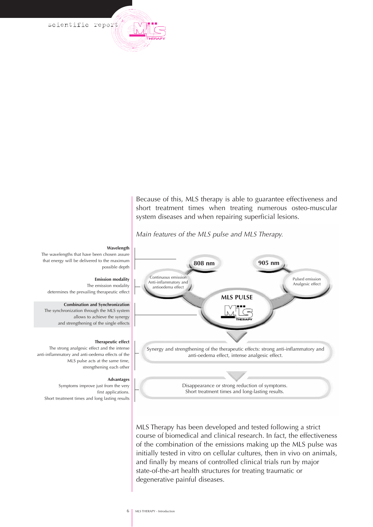Because of this, MLS therapy is able to guarantee effectiveness and short treatment times when treating numerous osteo-muscular system diseases and when repairing superficial lesions.

*Main features of the MLS pulse and MLS Therapy.*

#### **Wavelength**

The wavelengths that have been chosen assure that energy will be delivered to the maximum possible depth

#### **Emission modality**

The emission modality determines the prevailing therapeutic effect

#### **Combination and Synchronization**

The synchronization through the MLS system allows to achieve the synergy and strengthening of the single effects

#### **Therapeutic effect**

The strong analgesic effect and the intense anti-inflammatory and anti-oedema effects of the MLS pulse acts at the same time, strengthening each other

#### **Advantages**

Symptoms improve just from the very first applications. Short treatment times and long lasting results



MLS Therapy has been developed and tested following a strict course of biomedical and clinical research. In fact, the effectiveness of the combination of the emissions making up the MLS pulse was initially tested in vitro on cellular cultures, then in vivo on animals, and finally by means of controlled clinical trials run by major state-of-the-art health structures for treating traumatic or degenerative painful diseases.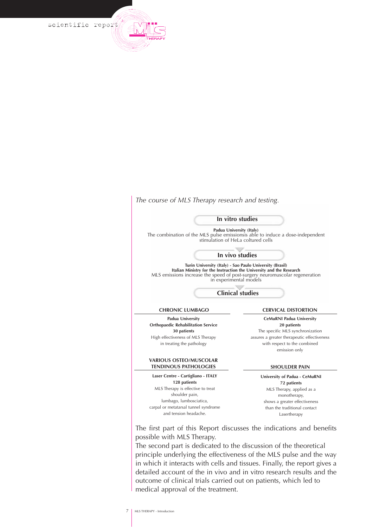

### *The course of MLS Therapy research and testing.*



possible with MLS Therapy.

The second part is dedicated to the discussion of the theoretical principle underlying the effectiveness of the MLS pulse and the way in which it interacts with cells and tissues. Finally, the report gives a detailed account of the in vivo and in vitro research results and the outcome of clinical trials carried out on patients, which led to medical approval of the treatment.

7 MLS THERAPY - Introduction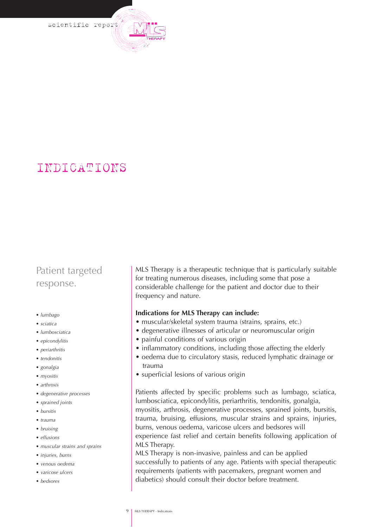# *INDICATIONS*

### Patient targeted response.

- *lumbago*
- *sciatica*
- *lumbosciatica*
- *epicondylitis*
- *periarthritis*
- *tendonitis*
- *gonalgia*
- *myositis*
- *arthrosis*
- *degenerative processes*
- *sprained joints*
- *bursitis*
- *trauma*
- *bruising*
- *effusions*
- *muscular strains and sprains*
- *injuries, burns*
- *venous oedema*
- *varicose ulcers*
- *bedsores*

MLS Therapy is a therapeutic technique that is particularly suitable for treating numerous diseases, including some that pose a considerable challenge for the patient and doctor due to their frequency and nature.

### **Indications for MLS Therapy can include:**

- muscular/skeletal system trauma (strains, sprains, etc.)
- degenerative illnesses of articular or neuromuscular origin
- painful conditions of various origin
- inflammatory conditions, including those affecting the elderly
- oedema due to circulatory stasis, reduced lymphatic drainage or trauma
- superficial lesions of various origin

Patients affected by specific problems such as lumbago, sciatica, lumbosciatica, epicondylitis, periarthritis, tendonitis, gonalgia, myositis, arthrosis, degenerative processes, sprained joints, bursitis, trauma, bruising, effusions, muscular strains and sprains, injuries, burns, venous oedema, varicose ulcers and bedsores will experience fast relief and certain benefits following application of MLS Therapy.

MLS Therapy is non-invasive, painless and can be applied successfully to patients of any age. Patients with special therapeutic requirements (patients with pacemakers, pregnant women and diabetics) should consult their doctor before treatment.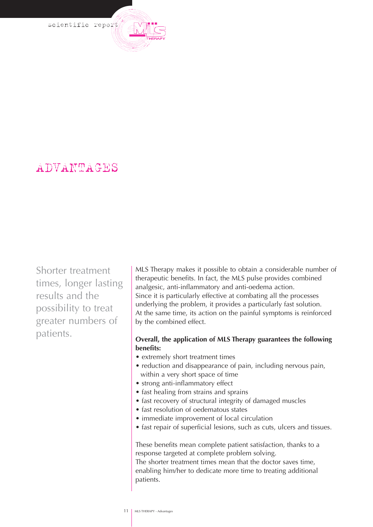# *ADVANTAGES*

Shorter treatment times, longer lasting results and the possibility to treat greater numbers of patients.

MLS Therapy makes it possible to obtain a considerable number of therapeutic benefits. In fact, the MLS pulse provides combined analgesic, anti-inflammatory and anti-oedema action. Since it is particularly effective at combating all the processes underlying the problem, it provides a particularly fast solution. At the same time, its action on the painful symptoms is reinforced by the combined effect.

### **Overall, the application of MLS Therapy guarantees the following benefits:**

- extremely short treatment times
- reduction and disappearance of pain, including nervous pain, within a very short space of time
- strong anti-inflammatory effect
- fast healing from strains and sprains
- fast recovery of structural integrity of damaged muscles
- fast resolution of oedematous states
- immediate improvement of local circulation
- fast repair of superficial lesions, such as cuts, ulcers and tissues.

These benefits mean complete patient satisfaction, thanks to a response targeted at complete problem solving. The shorter treatment times mean that the doctor saves time, enabling him/her to dedicate more time to treating additional patients.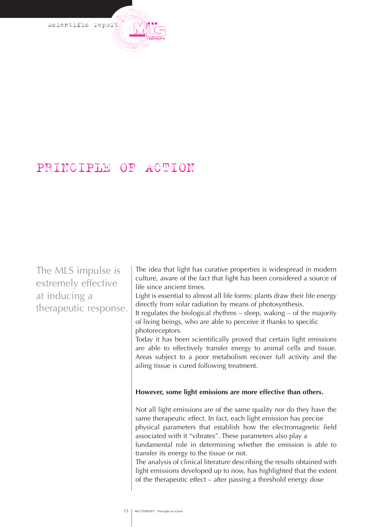# *PRINCIPLE OF ACTION*

The MLS impulse is extremely effective at inducing a therapeutic response. The idea that light has curative properties is widespread in modern culture, aware of the fact that light has been considered a source of life since ancient times.

Light is essential to almost all life forms: plants draw their life energy directly from solar radiation by means of photosynthesis.

It regulates the biological rhythms – sleep, waking – of the majority of living beings, who are able to perceive it thanks to specific photoreceptors.

Today it has been scientifically proved that certain light emissions are able to effectively transfer energy to animal cells and tissue. Areas subject to a poor metabolism recover full activity and the ailing tissue is cured following treatment.

### **However, some light emissions are more effective than others.**

Not all light emissions are of the same quality nor do they have the same therapeutic effect. In fact, each light emission has precise physical parameters that establish how the electromagnetic field associated with it "vibrates". These parameters also play a fundamental role in determining whether the emission is able to

transfer its energy to the tissue or not. The analysis of clinical literature describing the results obtained with light emissions developed up to now, has highlighted that the extent of the therapeutic effect – after passing a threshold energy dose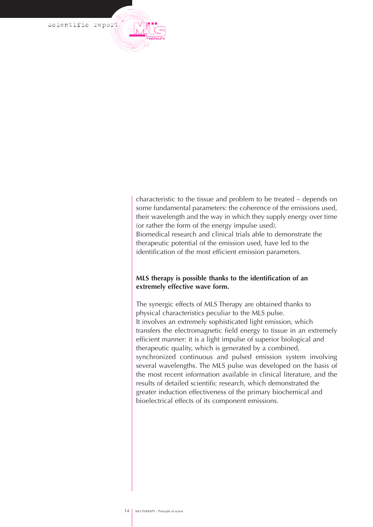characteristic to the tissue and problem to be treated – depends on some fundamental parameters: the coherence of the emissions used, their wavelength and the way in which they supply energy over time (or rather the form of the energy impulse used). Biomedical research and clinical trials able to demonstrate the therapeutic potential of the emission used, have led to the identification of the most efficient emission parameters.

### **MLS therapy is possible thanks to the identification of an extremely effective wave form.**

The synergic effects of MLS Therapy are obtained thanks to physical characteristics peculiar to the MLS pulse. It involves an extremely sophisticated light emission, which transfers the electromagnetic field energy to tissue in an extremely efficient manner: it is a light impulse of superior biological and therapeutic quality, which is generated by a combined, synchronized continuous and pulsed emission system involving several wavelengths. The MLS pulse was developed on the basis of the most recent information available in clinical literature, and the results of detailed scientific research, which demonstrated the greater induction effectiveness of the primary biochemical and bioelectrical effects of its component emissions.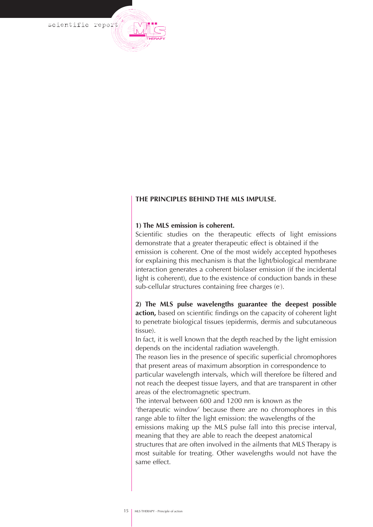### **THE PRINCIPLES BEHIND THE MLS IMPULSE.**

### **1) The MLS emission is coherent.**

Scientific studies on the therapeutic effects of light emissions demonstrate that a greater therapeutic effect is obtained if the emission is coherent. One of the most widely accepted hypotheses for explaining this mechanism is that the light/biological membrane interaction generates a coherent biolaser emission (if the incidental light is coherent), due to the existence of conduction bands in these sub-cellular structures containing free charges (e<sup>.</sup>).

**2) The MLS pulse wavelengths guarantee the deepest possible action,** based on scientific findings on the capacity of coherent light to penetrate biological tissues (epidermis, dermis and subcutaneous tissue).

In fact, it is well known that the depth reached by the light emission depends on the incidental radiation wavelength.

The reason lies in the presence of specific superficial chromophores that present areas of maximum absorption in correspondence to

particular wavelength intervals, which will therefore be filtered and not reach the deepest tissue layers, and that are transparent in other areas of the electromagnetic spectrum.

The interval between 600 and 1200 nm is known as the

'therapeutic window' because there are no chromophores in this range able to filter the light emission: the wavelengths of the

emissions making up the MLS pulse fall into this precise interval, meaning that they are able to reach the deepest anatomical

structures that are often involved in the ailments that MLS Therapy is most suitable for treating. Other wavelengths would not have the same effect.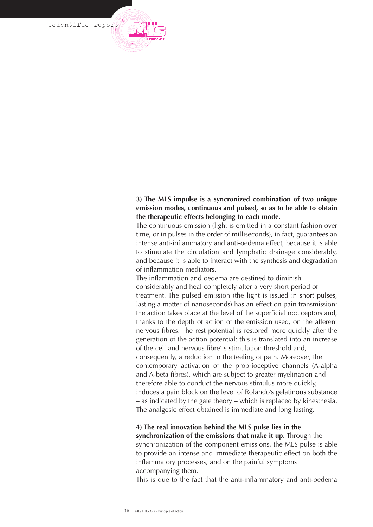### **3) The MLS impulse is a syncronized combination of two unique emission modes, continuous and pulsed, so as to be able to obtain the therapeutic effects belonging to each mode.**

The continuous emission (light is emitted in a constant fashion over time, or in pulses in the order of milliseconds), in fact, guarantees an intense anti-inflammatory and anti-oedema effect, because it is able to stimulate the circulation and lymphatic drainage considerably, and because it is able to interact with the synthesis and degradation of inflammation mediators.

The inflammation and oedema are destined to diminish considerably and heal completely after a very short period of treatment. The pulsed emission (the light is issued in short pulses, lasting a matter of nanoseconds) has an effect on pain transmission: the action takes place at the level of the superficial nociceptors and, thanks to the depth of action of the emission used, on the afferent nervous fibres. The rest potential is restored more quickly after the generation of the action potential: this is translated into an increase of the cell and nervous fibre' s stimulation threshold and, consequently, a reduction in the feeling of pain. Moreover, the contemporary activation of the proprioceptive channels (A-alpha and A-beta fibres), which are subject to greater myelination and therefore able to conduct the nervous stimulus more quickly, induces a pain block on the level of Rolando's gelatinous substance – as indicated by the gate theory – which is replaced by kinesthesia. The analgesic effect obtained is immediate and long lasting.

### **4) The real innovation behind the MLS pulse lies in the synchronization of the emissions that make it up.** Through the synchronization of the component emissions, the MLS pulse is able to provide an intense and immediate therapeutic effect on both the

inflammatory processes, and on the painful symptoms accompanying them.

This is due to the fact that the anti-inflammatory and anti-oedema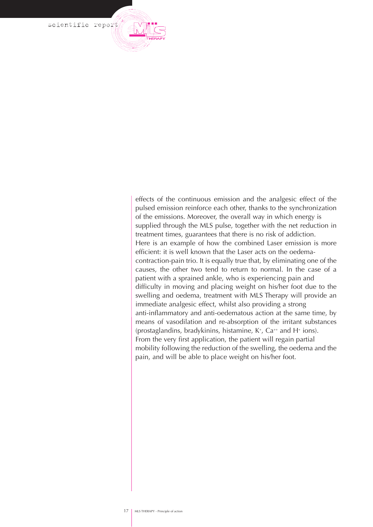effects of the continuous emission and the analgesic effect of the pulsed emission reinforce each other, thanks to the synchronization of the emissions. Moreover, the overall way in which energy is supplied through the MLS pulse, together with the net reduction in treatment times, guarantees that there is no risk of addiction. Here is an example of how the combined Laser emission is more efficient: it is well known that the Laser acts on the oedemacontraction-pain trio. It is equally true that, by eliminating one of the causes, the other two tend to return to normal. In the case of a patient with a sprained ankle, who is experiencing pain and difficulty in moving and placing weight on his/her foot due to the swelling and oedema, treatment with MLS Therapy will provide an immediate analgesic effect, whilst also providing a strong anti-inflammatory and anti-oedematous action at the same time, by means of vasodilation and re-absorption of the irritant substances (prostaglandins, bradykinins, histamine,  $K^+$ ,  $Ca^{++}$  and  $H^+$  ions). From the very first application, the patient will regain partial mobility following the reduction of the swelling, the oedema and the pain, and will be able to place weight on his/her foot.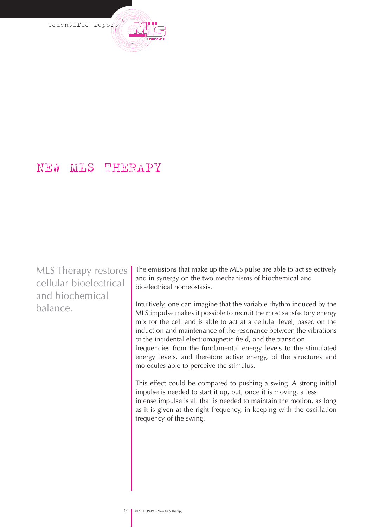## *NEW MLS THERAPY*

MLS Therapy restores cellular bioelectrical and biochemical balance.

The emissions that make up the MLS pulse are able to act selectively and in synergy on the two mechanisms of biochemical and bioelectrical homeostasis.

Intuitively, one can imagine that the variable rhythm induced by the MLS impulse makes it possible to recruit the most satisfactory energy mix for the cell and is able to act at a cellular level, based on the induction and maintenance of the resonance between the vibrations of the incidental electromagnetic field, and the transition frequencies from the fundamental energy levels to the stimulated energy levels, and therefore active energy, of the structures and molecules able to perceive the stimulus.

This effect could be compared to pushing a swing. A strong initial impulse is needed to start it up, but, once it is moving, a less intense impulse is all that is needed to maintain the motion, as long as it is given at the right frequency, in keeping with the oscillation frequency of the swing.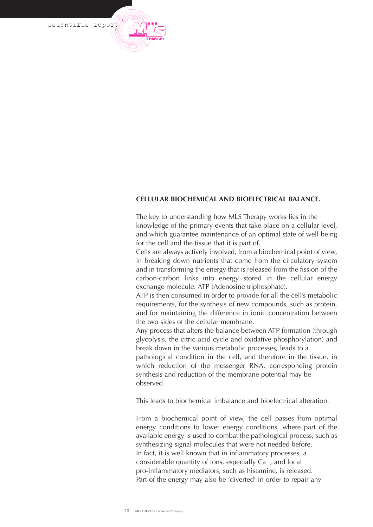### **CELLULAR BIOCHEMICAL AND BIOELECTRICAL BALANCE.**

The key to understanding how MLS Therapy works lies in the knowledge of the primary events that take place on a cellular level, and which guarantee maintenance of an optimal state of well being for the cell and the tissue that it is part of.

Cells are always actively involved, from a biochemical point of view, in breaking down nutrients that come from the circulatory system and in transforming the energy that is released from the fission of the carbon-carbon links into energy stored in the cellular energy exchange molecule: ATP (Adenosine triphosphate).

ATP is then consumed in order to provide for all the cell's metabolic requirements, for the synthesis of new compounds, such as protein, and for maintaining the difference in ionic concentration between the two sides of the cellular membrane.

Any process that alters the balance between ATP formation (through glycolysis, the citric acid cycle and oxidative phosphorylation) and break down in the various metabolic processes, leads to a

pathological condition in the cell, and therefore in the tissue, in which reduction of the messenger RNA, corresponding protein synthesis and reduction of the membrane potential may be observed.

This leads to biochemical imbalance and bioelectrical alteration.

From a biochemical point of view, the cell passes from optimal energy conditions to lower energy conditions, where part of the available energy is used to combat the pathological process, such as synthesizing signal molecules that were not needed before. In fact, it is well known that in inflammatory processes, a considerable quantity of ions, especially Ca<sup>++</sup>, and local pro-inflammatory mediators, such as histamine, is released. Part of the energy may also be 'diverted' in order to repair any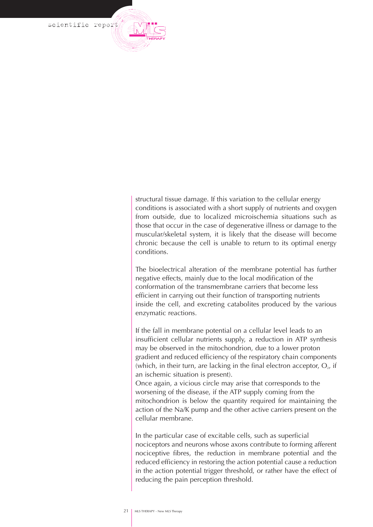structural tissue damage. If this variation to the cellular energy conditions is associated with a short supply of nutrients and oxygen from outside, due to localized microischemia situations such as those that occur in the case of degenerative illness or damage to the muscular/skeletal system, it is likely that the disease will become chronic because the cell is unable to return to its optimal energy conditions.

The bioelectrical alteration of the membrane potential has further negative effects, mainly due to the local modification of the conformation of the transmembrane carriers that become less efficient in carrying out their function of transporting nutrients inside the cell, and excreting catabolites produced by the various enzymatic reactions.

If the fall in membrane potential on a cellular level leads to an insufficient cellular nutrients supply, a reduction in ATP synthesis may be observed in the mitochondrion, due to a lower proton gradient and reduced efficiency of the respiratory chain components (which, in their turn, are lacking in the final electron acceptor,  $\mathrm{O}_{\scriptscriptstyle{2}}$ , if an ischemic situation is present).

Once again, a vicious circle may arise that corresponds to the worsening of the disease, if the ATP supply coming from the mitochondrion is below the quantity required for maintaining the action of the Na/K pump and the other active carriers present on the cellular membrane.

In the particular case of excitable cells, such as superficial nociceptors and neurons whose axons contribute to forming afferent nociceptive fibres, the reduction in membrane potential and the reduced efficiency in restoring the action potential cause a reduction in the action potential trigger threshold, or rather have the effect of reducing the pain perception threshold.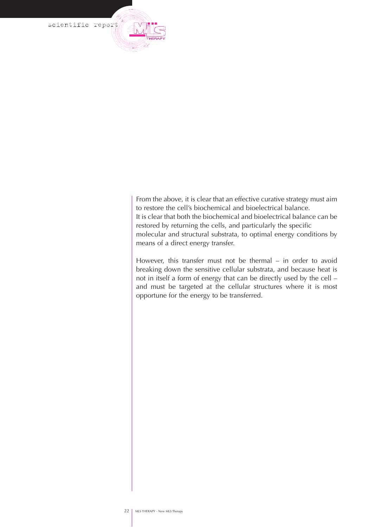From the above, it is clear that an effective curative strategy must aim to restore the cell's biochemical and bioelectrical balance. It is clear that both the biochemical and bioelectrical balance can be restored by returning the cells, and particularly the specific molecular and structural substrata, to optimal energy conditions by means of a direct energy transfer.

However, this transfer must not be thermal – in order to avoid breaking down the sensitive cellular substrata, and because heat is not in itself a form of energy that can be directly used by the cell – and must be targeted at the cellular structures where it is most opportune for the energy to be transferred.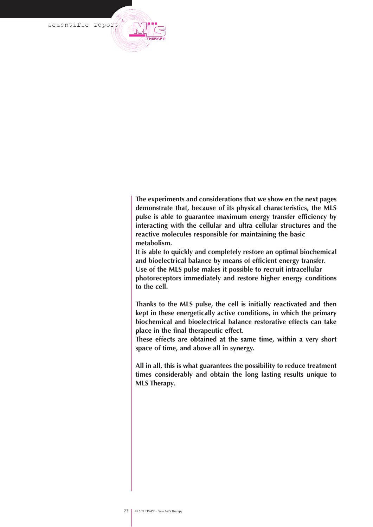**The experiments and considerations that we show en the next pages demonstrate that, because of its physical characteristics, the MLS pulse is able to guarantee maximum energy transfer efficiency by interacting with the cellular and ultra cellular structures and the reactive molecules responsible for maintaining the basic metabolism.**

**It is able to quickly and completely restore an optimal biochemical and bioelectrical balance by means of efficient energy transfer. Use of the MLS pulse makes it possible to recruit intracellular photoreceptors immediately and restore higher energy conditions to the cell.**

**Thanks to the MLS pulse, the cell is initially reactivated and then kept in these energetically active conditions, in which the primary biochemical and bioelectrical balance restorative effects can take place in the final therapeutic effect.** 

**These effects are obtained at the same time, within a very short space of time, and above all in synergy.** 

**All in all, this is what guarantees the possibility to reduce treatment times considerably and obtain the long lasting results unique to MLS Therapy.**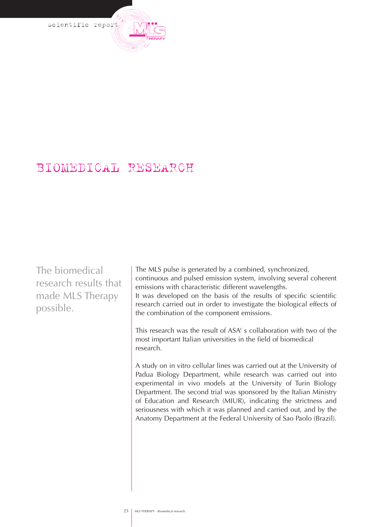# *BIOMEDICAL RESEARCH*

The biomedical research results that made MLS Therapy possible.

The MLS pulse is generated by a combined, synchronized, continuous and pulsed emission system, involving several coherent emissions with characteristic different wavelengths.

It was developed on the basis of the results of specific scientific research carried out in order to investigate the biological effects of the combination of the component emissions.

This research was the result of ASA' s collaboration with two of the most important Italian universities in the field of biomedical research.

A study on in vitro cellular lines was carried out at the University of Padua Biology Department, while research was carried out into experimental in vivo models at the University of Turin Biology Department. The second trial was sponsored by the Italian Ministry of Education and Research (MIUR), indicating the strictness and seriousness with which it was planned and carried out, and by the Anatomy Department at the Federal University of Sao Paolo (Brazil).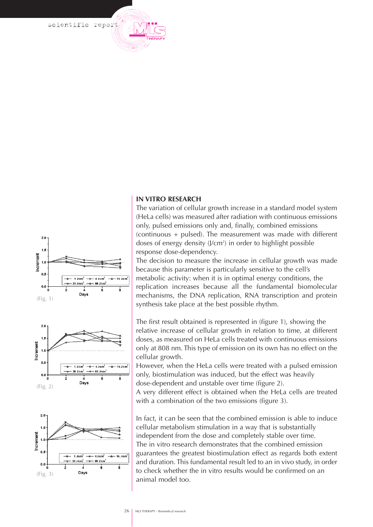

Days

(Fig. 3)

### **IN VITRO RESEARCH**

The variation of cellular growth increase in a standard model system (HeLa cells) was measured after radiation with continuous emissions only, pulsed emissions only and, finally, combined emissions (continuous + pulsed). The measurement was made with different doses of energy density (J/cm<sup>2</sup>) in order to highlight possible response dose-dependency.

The decision to measure the increase in cellular growth was made because this parameter is particularly sensitive to the cell's metabolic activity: when it is in optimal energy conditions, the replication increases because all the fundamental biomolecular mechanisms, the DNA replication, RNA transcription and protein synthesis take place at the best possible rhythm.

The first result obtained is represented in (figure 1), showing the relative increase of cellular growth in relation to time, at different doses, as measured on HeLa cells treated with continuous emissions only at 808 nm. This type of emission on its own has no effect on the cellular growth.

However, when the HeLa cells were treated with a pulsed emission only, biostimulation was induced, but the effect was heavily dose-dependent and unstable over time (figure 2).

A very different effect is obtained when the HeLa cells are treated with a combination of the two emissions (figure 3).

In fact, it can be seen that the combined emission is able to induce cellular metabolism stimulation in a way that is substantially independent from the dose and completely stable over time. The in vitro research demonstrates that the combined emission guarantees the greatest biostimulation effect as regards both extent and duration. This fundamental result led to an in vivo study, in order to check whether the in vitro results would be confirmed on an animal model too.

26 | MLS THERAPY - Biomedical research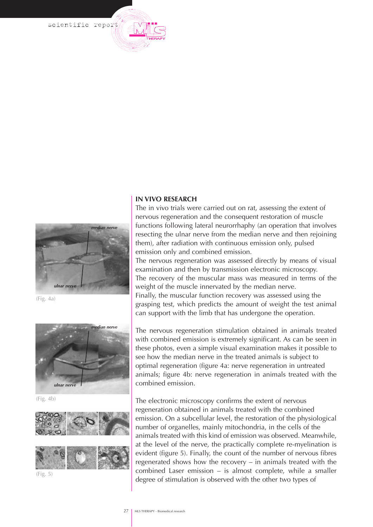

(Fig. 4a)



(Fig. 4b)





(Fig. 5)

### **IN VIVO RESEARCH**

The in vivo trials were carried out on rat, assessing the extent of nervous regeneration and the consequent restoration of muscle functions following lateral neurorrhaphy (an operation that involves resecting the ulnar nerve from the median nerve and then rejoining them), after radiation with continuous emission only, pulsed emission only and combined emission.

The nervous regeneration was assessed directly by means of visual examination and then by transmission electronic microscopy. The recovery of the muscular mass was measured in terms of the weight of the muscle innervated by the median nerve. Finally, the muscular function recovery was assessed using the

grasping test, which predicts the amount of weight the test animal can support with the limb that has undergone the operation.

The nervous regeneration stimulation obtained in animals treated with combined emission is extremely significant. As can be seen in these photos, even a simple visual examination makes it possible to see how the median nerve in the treated animals is subject to optimal regeneration (figure 4a: nerve regeneration in untreated animals; figure 4b: nerve regeneration in animals treated with the combined emission.

The electronic microscopy confirms the extent of nervous regeneration obtained in animals treated with the combined emission. On a subcellular level, the restoration of the physiological number of organelles, mainly mitochondria, in the cells of the animals treated with this kind of emission was observed. Meanwhile, at the level of the nerve, the practically complete re-myelination is evident (figure 5). Finally, the count of the number of nervous fibres regenerated shows how the recovery – in animals treated with the combined Laser emission – is almost complete, while a smaller degree of stimulation is observed with the other two types of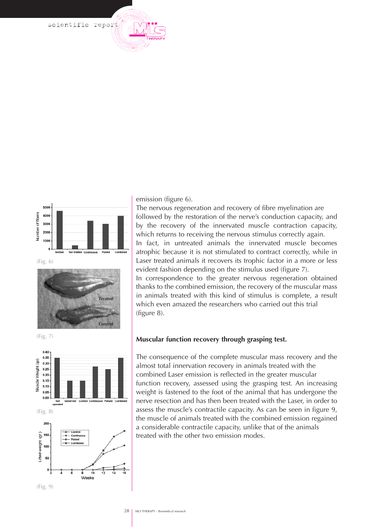

(Fig. 6)



(Fig. 7)



#### emission (figure 6).

The nervous regeneration and recovery of fibre myelination are followed by the restoration of the nerve's conduction capacity, and by the recovery of the innervated muscle contraction capacity, which returns to receiving the nervous stimulus correctly again. In fact, in untreated animals the innervated muscle becomes atrophic because it is not stimulated to contract correctly, while in Laser treated animals it recovers its trophic factor in a more or less evident fashion depending on the stimulus used (figure 7). In correspondence to the greater nervous regeneration obtained thanks to the combined emission, the recovery of the muscular mass in animals treated with this kind of stimulus is complete, a result which even amazed the researchers who carried out this trial (figure 8).

### **Muscular function recovery through grasping test.**

The consequence of the complete muscular mass recovery and the almost total innervation recovery in animals treated with the combined Laser emission is reflected in the greater muscular function recovery, assessed using the grasping test. An increasing weight is fastened to the foot of the animal that has undergone the nerve resection and has then been treated with the Laser, in order to assess the muscle's contractile capacity. As can be seen in figure 9, the muscle of animals treated with the combined emission regained a considerable contractile capacity, unlike that of the animals treated with the other two emission modes.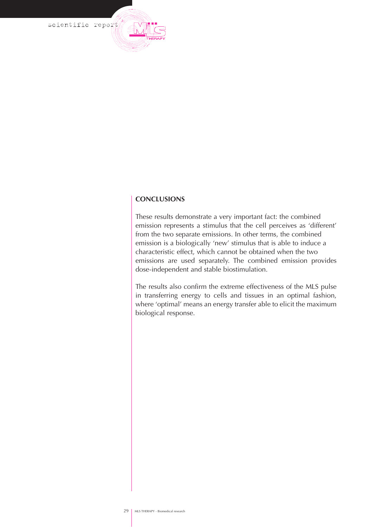### **CONCLUSIONS**

These results demonstrate a very important fact: the combined emission represents a stimulus that the cell perceives as 'different' from the two separate emissions. In other terms, the combined emission is a biologically 'new' stimulus that is able to induce a characteristic effect, which cannot be obtained when the two emissions are used separately. The combined emission provides dose-independent and stable biostimulation.

The results also confirm the extreme effectiveness of the MLS pulse in transferring energy to cells and tissues in an optimal fashion, where 'optimal' means an energy transfer able to elicit the maximum biological response.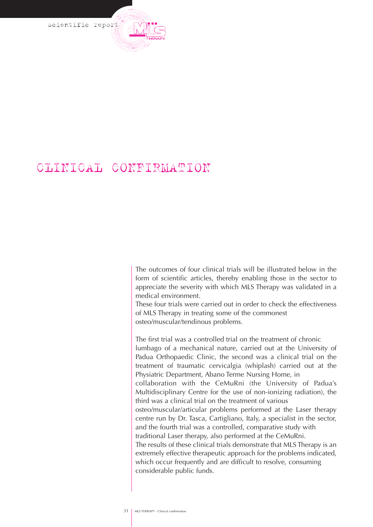# *CLINICAL CONFIRMATION*

The outcomes of four clinical trials will be illustrated below in the form of scientific articles, thereby enabling those in the sector to appreciate the severity with which MLS Therapy was validated in a medical environment.

These four trials were carried out in order to check the effectiveness of MLS Therapy in treating some of the commonest osteo/muscular/tendinous problems.

The first trial was a controlled trial on the treatment of chronic lumbago of a mechanical nature, carried out at the University of Padua Orthopaedic Clinic, the second was a clinical trial on the treatment of traumatic cervicalgia (whiplash) carried out at the Physiatric Department, Abano Terme Nursing Home, in collaboration with the CeMuRni (the University of Padua's Multidisciplinary Centre for the use of non-ionizing radiation), the third was a clinical trial on the treatment of various osteo/muscular/articular problems performed at the Laser therapy centre run by Dr. Tasca, Cartigliano, Italy, a specialist in the sector, and the fourth trial was a controlled, comparative study with traditional Laser therapy, also performed at the CeMuRni. The results of these clinical trials demonstrate that MLS Therapy is an extremely effective therapeutic approach for the problems indicated, which occur frequently and are difficult to resolve, consuming considerable public funds.

31 | MLS THERAPY - Clinical confirmation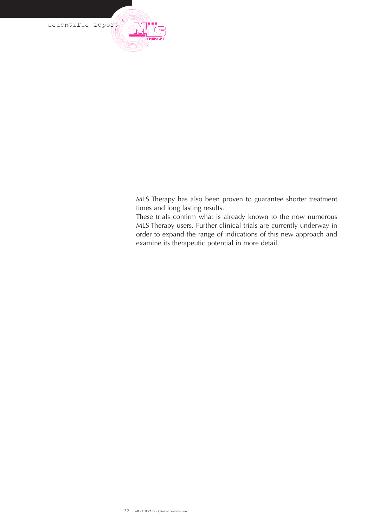MLS Therapy has also been proven to guarantee shorter treatment times and long lasting results.

These trials confirm what is already known to the now numerous MLS Therapy users. Further clinical trials are currently underway in order to expand the range of indications of this new approach and examine its therapeutic potential in more detail.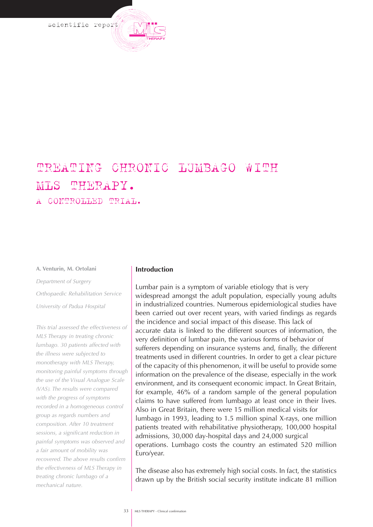# *TREATING CHRONIC LUMBAGO WITH MLS THERAPY.*

*A CONTROLLED TRIAL.*

#### **A. Venturin, M. Ortolani**

*Department of Surgery Orthopaedic Rehabilitation Service University of Padua Hospital* 

*This trial assessed the effectiveness of MLS Therapy in treating chronic lumbago. 30 patients affected with the illness were subjected to monotherapy with MLS Therapy, monitoring painful symptoms through the use of the Visual Analogue Scale (VAS). The results were compared with the progress of symptoms recorded in a homogeneous control group as regards numbers and composition. After 10 treatment sessions, a significant reduction in painful symptoms was observed and a fair amount of mobility was recovered. The above results confirm the effectiveness of MLS Therapy in treating chronic lumbago of a mechanical nature.*

### **Introduction**

Lumbar pain is a symptom of variable etiology that is very widespread amongst the adult population, especially young adults in industrialized countries. Numerous epidemiological studies have been carried out over recent years, with varied findings as regards the incidence and social impact of this disease. This lack of accurate data is linked to the different sources of information, the very definition of lumbar pain, the various forms of behavior of sufferers depending on insurance systems and, finally, the different treatments used in different countries. In order to get a clear picture of the capacity of this phenomenon, it will be useful to provide some information on the prevalence of the disease, especially in the work environment, and its consequent economic impact. In Great Britain, for example, 46% of a random sample of the general population claims to have suffered from lumbago at least once in their lives. Also in Great Britain, there were 15 million medical visits for lumbago in 1993, leading to 1.5 million spinal X-rays, one million patients treated with rehabilitative physiotherapy, 100,000 hospital admissions, 30,000 day-hospital days and 24,000 surgical operations. Lumbago costs the country an estimated 520 million Euro/year.

The disease also has extremely high social costs. In fact, the statistics drawn up by the British social security institute indicate 81 million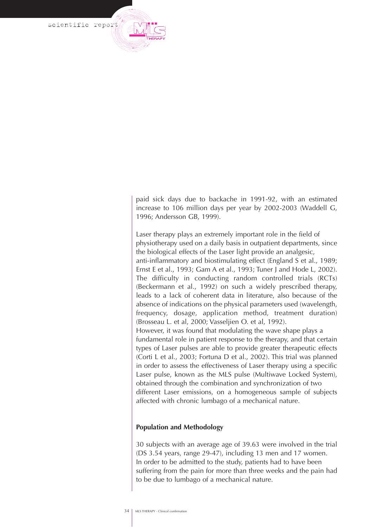paid sick days due to backache in 1991-92, with an estimated increase to 106 million days per year by 2002-2003 (Waddell G, 1996; Andersson GB, 1999).

Laser therapy plays an extremely important role in the field of physiotherapy used on a daily basis in outpatient departments, since the biological effects of the Laser light provide an analgesic, anti-inflammatory and biostimulating effect (England S et al., 1989; Ernst E et al., 1993; Gam A et al., 1993; Tuner J and Hode L, 2002). The difficulty in conducting random controlled trials (RCTs) (Beckermann et al., 1992) on such a widely prescribed therapy, leads to a lack of coherent data in literature, also because of the absence of indications on the physical parameters used (wavelength, frequency, dosage, application method, treatment duration) (Brosseau L. et al, 2000; Vasseljien O. et al, 1992). However, it was found that modulating the wave shape plays a fundamental role in patient response to the therapy, and that certain types of Laser pulses are able to provide greater therapeutic effects (Corti L et al., 2003; Fortuna D et al., 2002). This trial was planned in order to assess the effectiveness of Laser therapy using a specific Laser pulse, known as the MLS pulse (Multiwave Locked System), obtained through the combination and synchronization of two different Laser emissions, on a homogeneous sample of subjects affected with chronic lumbago of a mechanical nature.

### **Population and Methodology**

30 subjects with an average age of 39.63 were involved in the trial (DS 3.54 years, range 29-47), including 13 men and 17 women. In order to be admitted to the study, patients had to have been suffering from the pain for more than three weeks and the pain had to be due to lumbago of a mechanical nature.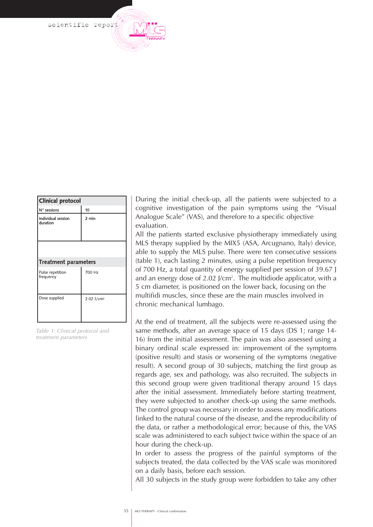| <b>Clinical protocol</b>       |                          |  |  |  |
|--------------------------------|--------------------------|--|--|--|
| $N^{\circ}$ sessions           | 10                       |  |  |  |
| Individual session<br>duration | $2 \text{ min}$          |  |  |  |
|                                |                          |  |  |  |
| <b>Treatment parameters</b>    |                          |  |  |  |
| Pulse repetition<br>frequency  | 700 Hz                   |  |  |  |
| Dose supplied                  | $2.02$ J/cm <sup>2</sup> |  |  |  |

*Table 1: Clinical protocol and treatment parameters*

During the initial check-up, all the patients were subjected to a cognitive investigation of the pain symptoms using the "Visual Analogue Scale" (VAS), and therefore to a specific objective evaluation.

All the patients started exclusive physiotherapy immediately using MLS therapy supplied by the MIX5 (ASA, Arcugnano, Italy) device, able to supply the MLS pulse. There were ten consecutive sessions (table 1), each lasting 2 minutes, using a pulse repetition frequency of 700 Hz, a total quantity of energy supplied per session of 39.67 J and an energy dose of 2.02 J/cm<sup>2</sup>. The multidiode applicator, with a 5 cm diameter, is positioned on the lower back, focusing on the multifidi muscles, since these are the main muscles involved in chronic mechanical lumbago.

At the end of treatment, all the subjects were re-assessed using the same methods, after an average space of 15 days (DS 1; range 14- 16) from the initial assessment. The pain was also assessed using a binary ordinal scale expressed in: improvement of the symptoms (positive result) and stasis or worsening of the symptoms (negative result). A second group of 30 subjects, matching the first group as regards age, sex and pathology, was also recruited. The subjects in this second group were given traditional therapy around 15 days after the initial assessment. Immediately before starting treatment, they were subjected to another check-up using the same methods. The control group was necessary in order to assess any modifications linked to the natural course of the disease, and the reproducibility of the data, or rather a methodological error; because of this, the VAS scale was administered to each subject twice within the space of an hour during the check-up.

In order to assess the progress of the painful symptoms of the subjects treated, the data collected by the VAS scale was monitored on a daily basis, before each session.

All 30 subjects in the study group were forbidden to take any other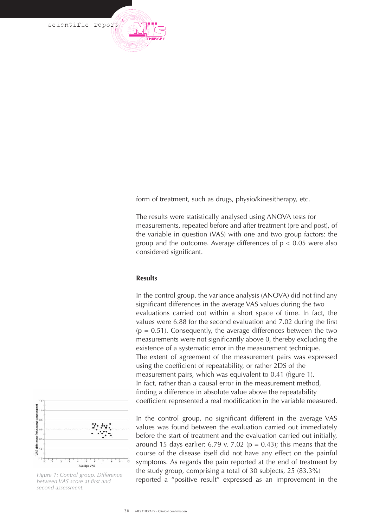form of treatment, such as drugs, physio/kinesitherapy, etc.

The results were statistically analysed using ANOVA tests for measurements, repeated before and after treatment (pre and post), of the variable in question (VAS) with one and two group factors: the group and the outcome. Average differences of  $p < 0.05$  were also considered significant.

### **Results**

In the control group, the variance analysis (ANOVA) did not find any significant differences in the average VAS values during the two evaluations carried out within a short space of time. In fact, the values were 6.88 for the second evaluation and 7.02 during the first  $(p = 0.51)$ . Consequently, the average differences between the two measurements were not significantly above 0, thereby excluding the existence of a systematic error in the measurement technique. The extent of agreement of the measurement pairs was expressed using the coefficient of repeatability, or rather 2DS of the measurement pairs, which was equivalent to 0.41 (figure 1). In fact, rather than a causal error in the measurement method, finding a difference in absolute value above the repeatability coefficient represented a real modification in the variable measured.





*between VAS score at first and second assessment.*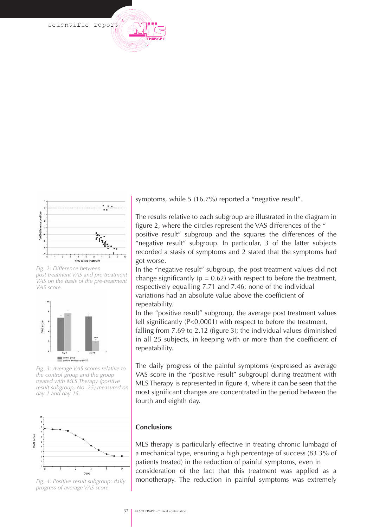

*Fig. 2: Difference between post-treatment VAS and pre-treatment VAS on the basis of the pre-treatment VAS score.* 



*Fig. 3: Average VAS scores relative to the control group and the group treated with MLS Therapy (positive result subgroup, No. 25) measured on day 1 and day 15.* 



*Fig. 4: Positive result subgroup: daily progress of average VAS score.* 

symptoms, while 5 (16.7%) reported a "negative result".

The results relative to each subgroup are illustrated in the diagram in figure 2, where the circles represent the VAS differences of the " positive result" subgroup and the squares the differences of the "negative result" subgroup. In particular, 3 of the latter subjects recorded a stasis of symptoms and 2 stated that the symptoms had got worse.

In the "negative result" subgroup, the post treatment values did not change significantly ( $p = 0.62$ ) with respect to before the treatment, respectively equalling 7.71 and 7.46; none of the individual variations had an absolute value above the coefficient of repeatability.

In the "positive result" subgroup, the average post treatment values fell significantly (P<0.0001) with respect to before the treatment, falling from 7.69 to 2.12 (figure 3); the individual values diminished in all 25 subjects, in keeping with or more than the coefficient of repeatability.

The daily progress of the painful symptoms (expressed as average VAS score in the "positive result" subgroup) during treatment with MLS Therapy is represented in figure 4, where it can be seen that the most significant changes are concentrated in the period between the fourth and eighth day.

### **Conclusions**

MLS therapy is particularly effective in treating chronic lumbago of a mechanical type, ensuring a high percentage of success (83.3% of patients treated) in the reduction of painful symptoms, even in consideration of the fact that this treatment was applied as a monotherapy. The reduction in painful symptoms was extremely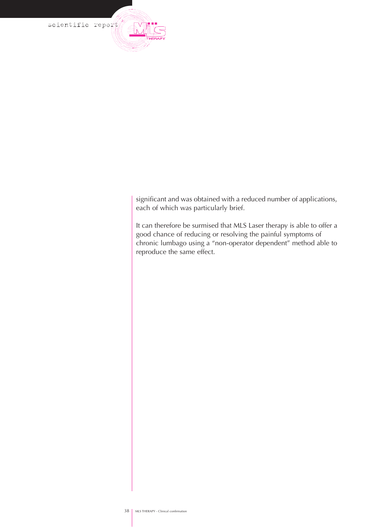significant and was obtained with a reduced number of applications, each of which was particularly brief.

It can therefore be surmised that MLS Laser therapy is able to offer a good chance of reducing or resolving the painful symptoms of chronic lumbago using a "non-operator dependent" method able to reproduce the same effect.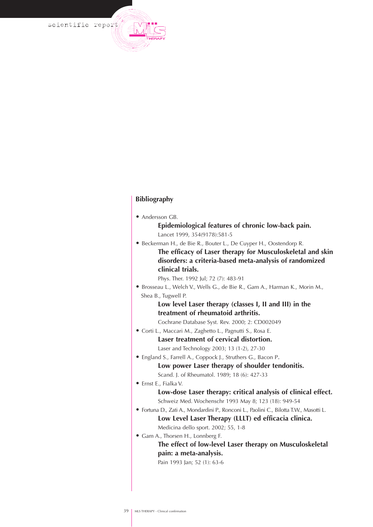### **Bibliography**

- Andersson GB. **Epidemiological features of chronic low-back pain.** Lancet 1999, 354(9178):581-5 • Beckerman H., de Bie R., Bouter L., De Cuyper H., Oostendorp R.
	- **The efficacy of Laser therapy for Musculoskeletal and skin disorders: a criteria-based meta-analysis of randomized clinical trials.**

Phys. Ther. 1992 Jul; 72 (7): 483-91

• Brosseau L., Welch V., Wells G., de Bie R., Gam A., Harman K., Morin M., Shea B., Tugwell P.

> **Low level Laser therapy (classes I, II and III) in the treatment of rheumatoid arthritis.**

Cochrane Database Syst. Rev. 2000; 2: CD002049

• Corti L., Maccari M., Zaghetto L., Pagnutti S., Rosa E.

**Laser treatment of cervical distortion.** Laser and Technology 2003; 13 (1-2), 27-30

- 
- England S., Farrell A., Coppock J., Struthers G., Bacon P. **Low power Laser therapy of shoulder tendonitis.**  Scand. J. of Rheumatol. 1989; 18 (6): 427-33
- Ernst E., Fialka V.

**Low-dose Laser therapy: critical analysis of clinical effect.** Schweiz Med. Wochenschr 1993 May 8; 123 (18): 949-54

- Fortuna D., Zati A., Mondardini P., Ronconi L., Paolini C., Bilotta T.W., Masotti L. **Low Level Laser Therapy (LLLT) ed efficacia clinica.** Medicina dello sport. 2002; 55, 1-8
- Gam A., Thorsen H., Lonnberg F.

**The effect of low-level Laser therapy on Musculoskeletal pain: a meta-analysis.**

Pain 1993 Jan; 52 (1): 63-6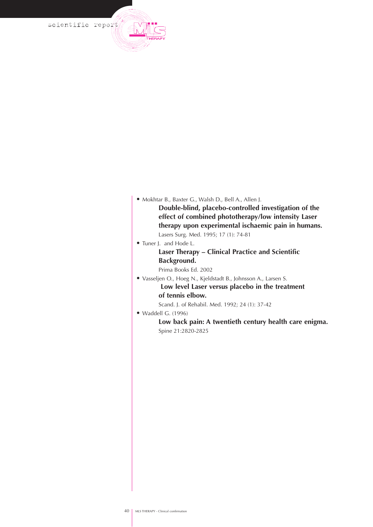B.

THERA

| Mokhtar B., Baxter G., Walsh D., Bell A., Allen J.<br>Double-blind, placebo-controlled investigation of the<br>effect of combined phototherapy/low intensity Laser |
|--------------------------------------------------------------------------------------------------------------------------------------------------------------------|
| therapy upon experimental ischaemic pain in humans.                                                                                                                |
| Lasers Surg. Med. 1995; 17 (1): 74-81                                                                                                                              |
| • Tuner J. and Hode L.                                                                                                                                             |
| Laser Therapy – Clinical Practice and Scientific                                                                                                                   |
| Background.                                                                                                                                                        |
| Prima Books Ed. 2002                                                                                                                                               |
| • Vasseljen O., Hoeg N., Kjeldstadt B., Johnsson A., Larsen S.                                                                                                     |
| Low level Laser versus placebo in the treatment                                                                                                                    |
| of tennis elbow.                                                                                                                                                   |
| Scand. J. of Rehabil. Med. 1992; 24 (1): 37-42                                                                                                                     |
| Waddell G. (1996)                                                                                                                                                  |
| Low back pain: A twentieth century health care enigma.                                                                                                             |
| Spine 21:2820-2825                                                                                                                                                 |
|                                                                                                                                                                    |
|                                                                                                                                                                    |
|                                                                                                                                                                    |
|                                                                                                                                                                    |
|                                                                                                                                                                    |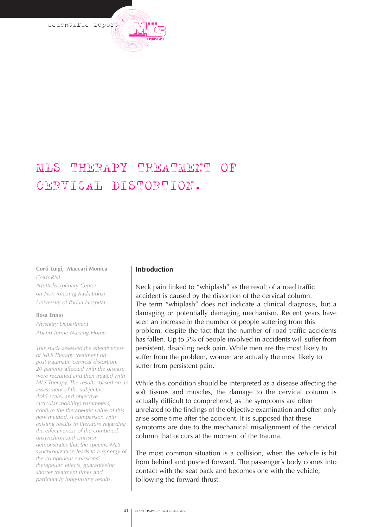# *MLS THERAPY TREATMENT OF CERVICAL DISTORTION.*

**Corti Luigi, Maccari Monica** *CeMuRNI (Multidisciplinary Center on Non-ionizing Radiations) University of Padua Hospital*

#### **Rosa Ennio**

*Physiatry Department Abano Terme Nursing Home*

*This study assessed the effectiveness of MLS Therapy treatment on post-traumatic cervical distortion. 20 patients affected with the disease were recruited and then treated with MLS Therapy. The results, based on an assessment of the subjective (VAS scale) and objective (articular mobility) parameters, confirm the therapeutic value of this new method. A comparison with existing results in literature regarding the effectiveness of the combined, unsynchronized emission demonstrates that the specific MLS synchronization leads to a synergy of the component emissions' therapeutic effects, guaranteeing shorter treatment times and particularly long-lasting results.*

### **Introduction**

Neck pain linked to "whiplash" as the result of a road traffic accident is caused by the distortion of the cervical column. The term "whiplash" does not indicate a clinical diagnosis, but a damaging or potentially damaging mechanism. Recent years have seen an increase in the number of people suffering from this problem, despite the fact that the number of road traffic accidents has fallen. Up to 5% of people involved in accidents will suffer from persistent, disabling neck pain. While men are the most likely to suffer from the problem, women are actually the most likely to suffer from persistent pain.

While this condition should be interpreted as a disease affecting the soft tissues and muscles, the damage to the cervical column is actually difficult to comprehend, as the symptoms are often unrelated to the findings of the objective examination and often only arise some time after the accident. It is supposed that these symptoms are due to the mechanical misalignment of the cervical column that occurs at the moment of the trauma.

The most common situation is a collision, when the vehicle is hit from behind and pushed forward. The passenger's body comes into contact with the seat back and becomes one with the vehicle, following the forward thrust.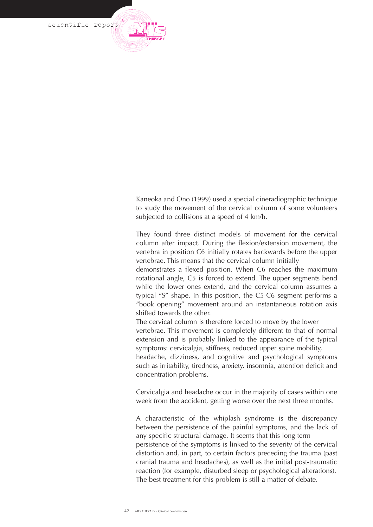Kaneoka and Ono (1999) used a special cineradiographic technique to study the movement of the cervical column of some volunteers subjected to collisions at a speed of 4 km/h.

They found three distinct models of movement for the cervical column after impact. During the flexion/extension movement, the vertebra in position C6 initially rotates backwards before the upper vertebrae. This means that the cervical column initially

demonstrates a flexed position. When C6 reaches the maximum rotational angle, C5 is forced to extend. The upper segments bend while the lower ones extend, and the cervical column assumes a typical "S" shape. In this position, the C5-C6 segment performs a "book opening" movement around an instantaneous rotation axis shifted towards the other.

The cervical column is therefore forced to move by the lower vertebrae. This movement is completely different to that of normal extension and is probably linked to the appearance of the typical symptoms: cervicalgia, stiffness, reduced upper spine mobility,

headache, dizziness, and cognitive and psychological symptoms such as irritability, tiredness, anxiety, insomnia, attention deficit and concentration problems.

Cervicalgia and headache occur in the majority of cases within one week from the accident, getting worse over the next three months.

A characteristic of the whiplash syndrome is the discrepancy between the persistence of the painful symptoms, and the lack of any specific structural damage. It seems that this long term persistence of the symptoms is linked to the severity of the cervical distortion and, in part, to certain factors preceding the trauma (past cranial trauma and headaches), as well as the initial post-traumatic reaction (for example, disturbed sleep or psychological alterations). The best treatment for this problem is still a matter of debate.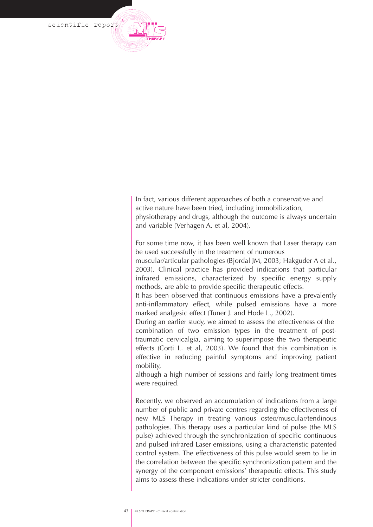In fact, various different approaches of both a conservative and active nature have been tried, including immobilization, physiotherapy and drugs, although the outcome is always uncertain and variable (Verhagen A. et al, 2004).

For some time now, it has been well known that Laser therapy can be used successfully in the treatment of numerous

muscular/articular pathologies (Bjordal JM, 2003; Hakguder A et al., 2003). Clinical practice has provided indications that particular infrared emissions, characterized by specific energy supply methods, are able to provide specific therapeutic effects.

It has been observed that continuous emissions have a prevalently anti-inflammatory effect, while pulsed emissions have a more marked analgesic effect (Tuner J. and Hode L., 2002).

During an earlier study, we aimed to assess the effectiveness of the combination of two emission types in the treatment of posttraumatic cervicalgia, aiming to superimpose the two therapeutic effects (Corti L. et al, 2003). We found that this combination is effective in reducing painful symptoms and improving patient mobility,

although a high number of sessions and fairly long treatment times were required.

Recently, we observed an accumulation of indications from a large number of public and private centres regarding the effectiveness of new MLS Therapy in treating various osteo/muscular/tendinous pathologies. This therapy uses a particular kind of pulse (the MLS pulse) achieved through the synchronization of specific continuous and pulsed infrared Laser emissions, using a characteristic patented control system. The effectiveness of this pulse would seem to lie in the correlation between the specific synchronization pattern and the synergy of the component emissions' therapeutic effects. This study aims to assess these indications under stricter conditions.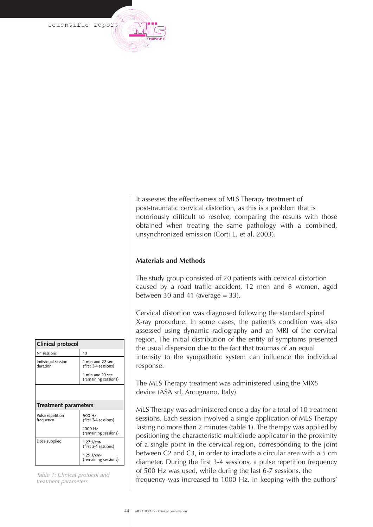It assesses the effectiveness of MLS Therapy treatment of post-traumatic cervical distortion, as this is a problem that is notoriously difficult to resolve, comparing the results with those obtained when treating the same pathology with a combined, unsynchronized emission (Corti L. et al, 2003).

### **Materials and Methods**

The study group consisted of 20 patients with cervical distortion caused by a road traffic accident, 12 men and 8 women, aged between 30 and 41 (average  $=$  33).

Cervical distortion was diagnosed following the standard spinal X-ray procedure. In some cases, the patient's condition was also assessed using dynamic radiography and an MRI of the cervical region. The initial distribution of the entity of symptoms presented the usual dispersion due to the fact that traumas of an equal intensity to the sympathetic system can influence the individual response.

The MLS Therapy treatment was administered using the MIX5 device (ASA srl, Arcugnano, Italy).

MLS Therapy was administered once a day for a total of 10 treatment sessions. Each session involved a single application of MLS Therapy lasting no more than 2 minutes (table 1). The therapy was applied by positioning the characteristic multidiode applicator in the proximity of a single point in the cervical region, corresponding to the joint between C2 and C3, in order to irradiate a circular area with a 5 cm diameter. During the first 3-4 sessions, a pulse repetition frequency of 500 Hz was used, while during the last 6-7 sessions, the

frequency was increased to 1000 Hz, in keeping with the authors'

| <b>Clinical protocol</b>       |                                                |  |  |  |
|--------------------------------|------------------------------------------------|--|--|--|
| $N^{\circ}$ sessions           | 10                                             |  |  |  |
| Individual session<br>duration | 1 min and 22 sec<br>(first 3-4 sessions)       |  |  |  |
|                                | 1 min and 10 sec<br>(remaining sessions)       |  |  |  |
|                                |                                                |  |  |  |
| <b>Treatment parameters</b>    |                                                |  |  |  |
| Pulse repetition<br>frequency  | 500 Hz<br>(first 3-4 sessions)                 |  |  |  |
|                                | 1000 Hz<br>(remaining sessions)                |  |  |  |
| Dose supplied                  | 1.27 J/cm <sup>2</sup><br>(first 3-4 sessions) |  |  |  |
|                                | 1.29 J/cm <sup>2</sup><br>(remaining sessions) |  |  |  |

*Table 1: Clinical protocol and treatment parameters*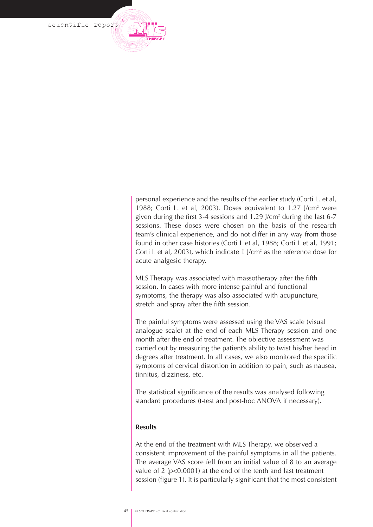personal experience and the results of the earlier study (Corti L. et al, 1988; Corti L. et al, 2003). Doses equivalent to  $1.27$  J/cm<sup>2</sup> were given during the first 3-4 sessions and 1.29 J/cm<sup>2</sup> during the last 6-7 sessions. These doses were chosen on the basis of the research team's clinical experience, and do not differ in any way from those found in other case histories (Corti L et al, 1988; Corti L et al, 1991; Corti L et al, 2003), which indicate 1 J/cm<sup>2</sup> as the reference dose for acute analgesic therapy.

MLS Therapy was associated with massotherapy after the fifth session. In cases with more intense painful and functional symptoms, the therapy was also associated with acupuncture, stretch and spray after the fifth session.

The painful symptoms were assessed using the VAS scale (visual analogue scale) at the end of each MLS Therapy session and one month after the end of treatment. The objective assessment was carried out by measuring the patient's ability to twist his/her head in degrees after treatment. In all cases, we also monitored the specific symptoms of cervical distortion in addition to pain, such as nausea, tinnitus, dizziness, etc.

The statistical significance of the results was analysed following standard procedures (t-test and post-hoc ANOVA if necessary).

## **Results**

At the end of the treatment with MLS Therapy, we observed a consistent improvement of the painful symptoms in all the patients. The average VAS score fell from an initial value of 8 to an average value of 2 ( $p<0.0001$ ) at the end of the tenth and last treatment session (figure 1). It is particularly significant that the most consistent

45 MLS THERAPY - Clinical confirmation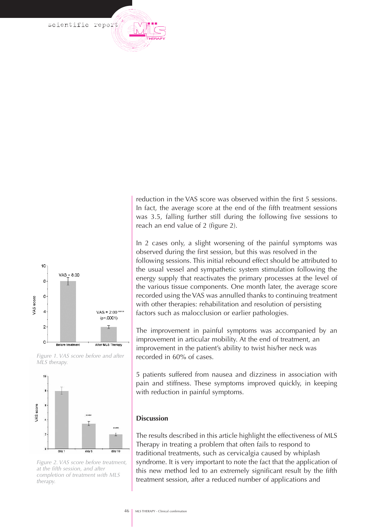





*Figure 2. VAS score before treatment, at the fifth session, and after completion of treatment with MLS therapy.*

reduction in the VAS score was observed within the first 5 sessions. In fact, the average score at the end of the fifth treatment sessions was 3.5, falling further still during the following five sessions to reach an end value of 2 (figure 2).

In 2 cases only, a slight worsening of the painful symptoms was observed during the first session, but this was resolved in the following sessions. This initial rebound effect should be attributed to the usual vessel and sympathetic system stimulation following the energy supply that reactivates the primary processes at the level of the various tissue components. One month later, the average score recorded using the VAS was annulled thanks to continuing treatment with other therapies: rehabilitation and resolution of persisting factors such as malocclusion or earlier pathologies.

The improvement in painful symptoms was accompanied by an improvement in articular mobility. At the end of treatment, an improvement in the patient's ability to twist his/her neck was recorded in 60% of cases.

5 patients suffered from nausea and dizziness in association with pain and stiffness. These symptoms improved quickly, in keeping with reduction in painful symptoms.

## **Discussion**

The results described in this article highlight the effectiveness of MLS Therapy in treating a problem that often fails to respond to traditional treatments, such as cervicalgia caused by whiplash syndrome. It is very important to note the fact that the application of this new method led to an extremely significant result by the fifth treatment session, after a reduced number of applications and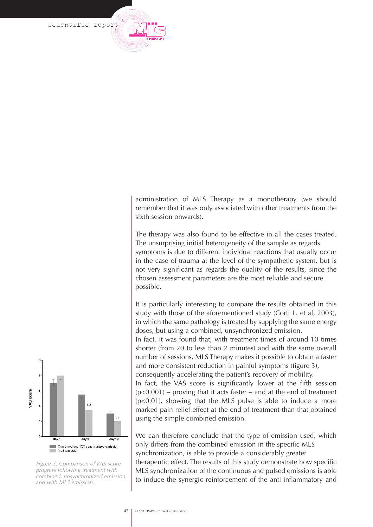administration of MLS Therapy as a monotherapy (we should remember that it was only associated with other treatments from the sixth session onwards).

The therapy was also found to be effective in all the cases treated. The unsurprising initial heterogeneity of the sample as regards symptoms is due to different individual reactions that usually occur in the case of trauma at the level of the sympathetic system, but is not very significant as regards the quality of the results, since the chosen assessment parameters are the most reliable and secure possible.

It is particularly interesting to compare the results obtained in this study with those of the aforementioned study (Corti L. et al, 2003), in which the same pathology is treated by supplying the same energy doses, but using a combined, unsynchronized emission.

In fact, it was found that, with treatment times of around 10 times shorter (from 20 to less than 2 minutes) and with the same overall number of sessions, MLS Therapy makes it possible to obtain a faster and more consistent reduction in painful symptoms (figure 3), consequently accelerating the patient's recovery of mobility.

In fact, the VAS score is significantly lower at the fifth session  $(p<0.001)$  – proving that it acts faster – and at the end of treatment  $(p<0.01)$ , showing that the MLS pulse is able to induce a more marked pain relief effect at the end of treatment than that obtained using the simple combined emission.

We can therefore conclude that the type of emission used, which only differs from the combined emission in the specific MLS synchronization, is able to provide a considerably greater therapeutic effect. The results of this study demonstrate how specific MLS synchronization of the continuous and pulsed emissions is able to induce the synergic reinforcement of the anti-inflammatory and



*Figure 3. Comparison of VAS score progress following treatment with combined, unsynchronized emission and with MLS emission.*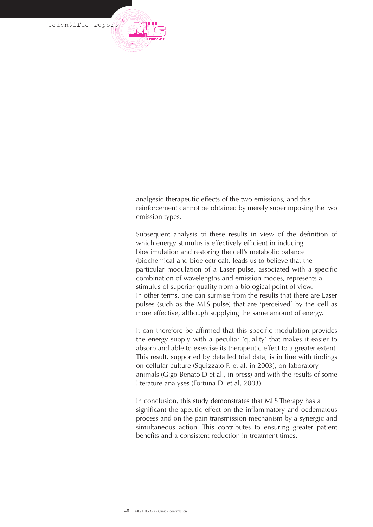analgesic therapeutic effects of the two emissions, and this reinforcement cannot be obtained by merely superimposing the two emission types.

Subsequent analysis of these results in view of the definition of which energy stimulus is effectively efficient in inducing biostimulation and restoring the cell's metabolic balance (biochemical and bioelectrical), leads us to believe that the particular modulation of a Laser pulse, associated with a specific combination of wavelengths and emission modes, represents a stimulus of superior quality from a biological point of view. In other terms, one can surmise from the results that there are Laser pulses (such as the MLS pulse) that are 'perceived' by the cell as more effective, although supplying the same amount of energy.

It can therefore be affirmed that this specific modulation provides the energy supply with a peculiar 'quality' that makes it easier to absorb and able to exercise its therapeutic effect to a greater extent. This result, supported by detailed trial data, is in line with findings on cellular culture (Squizzato F. et al, in 2003), on laboratory animals (Gigo Benato D et al., in press) and with the results of some literature analyses (Fortuna D. et al, 2003).

In conclusion, this study demonstrates that MLS Therapy has a significant therapeutic effect on the inflammatory and oedematous process and on the pain transmission mechanism by a synergic and simultaneous action. This contributes to ensuring greater patient benefits and a consistent reduction in treatment times.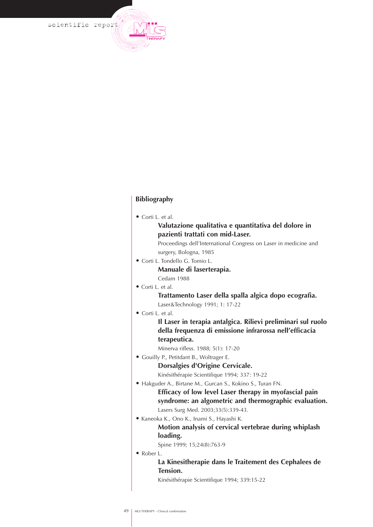B,

## **Bibliography**

| • Corti L. et al.                                                |
|------------------------------------------------------------------|
| Valutazione qualitativa e quantitativa del dolore in             |
| pazienti trattati con mid-Laser.                                 |
| Proceedings dell'International Congress on Laser in medicine and |
| surgery, Bologna, 1985                                           |
| · Corti L. Tondello G. Tomio L.                                  |
| Manuale di laserterapia.                                         |
| Cedam 1988                                                       |
| · Corti L. et al.                                                |
| Trattamento Laser della spalla algica dopo ecografia.            |
| Laser&Technology 1991; 1: 17-22                                  |
| • Corti L. et al.                                                |
| Il Laser in terapia antalgica. Rilievi preliminari sul ruolo     |
| della frequenza di emissione infrarossa nell'efficacia           |
| terapeutica.                                                     |
| Minerva rifless. 1988; 5(1): 17-20                               |
| • Gouilly P., Petitdant B., Woltrager E.                         |
| Dorsalgies d'Origine Cervicale.                                  |
| Kinésithérapie Scientifique 1994; 337: 19-22                     |
| · Hakguder A., Birtane M., Gurcan S., Kokino S., Turan FN.       |
| Efficacy of low level Laser therapy in myofascial pain           |
| syndrome: an algometric and thermographic evaluation.            |
| Lasers Surg Med. 2003;33(5):339-43.                              |
| · Kaneoka K., Ono K., Inami S., Hayashi K.                       |
| Motion analysis of cervical vertebrae during whiplash            |
| loading.                                                         |
| Spine 1999; 15;24(8):763-9                                       |
| • Rober L.                                                       |
| La Kinesitherapie dans le Traitement des Cephalees de            |
| Tension.                                                         |
| Kinésithérapie Scientifique 1994; 339:15-22                      |

49 | MLS THERAPY - Clinical confirmation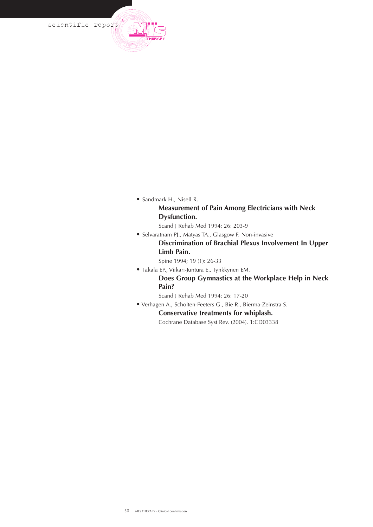• Sandmark H., Nisell R.

## **Measurement of Pain Among Electricians with Neck Dysfunction.**

Scand J Rehab Med 1994; 26: 203-9

• Selvaratnam PJ., Matyas TA., Glasgow F. Non-invasive

**Discrimination of Brachial Plexus Involvement In Upper Limb Pain.** 

Spine 1994; 19 (1): 26-33

• Takala EP., Viikari-Juntura E., Tynkkynen EM.

**Does Group Gymnastics at the Workplace Help in Neck Pain?** 

Scand J Rehab Med 1994; 26: 17-20

• Verhagen A., Scholten-Peeters G., Bie R., Bierma-Zeinstra S.

**Conservative treatments for whiplash.** 

Cochrane Database Syst Rev. (2004). 1:CD03338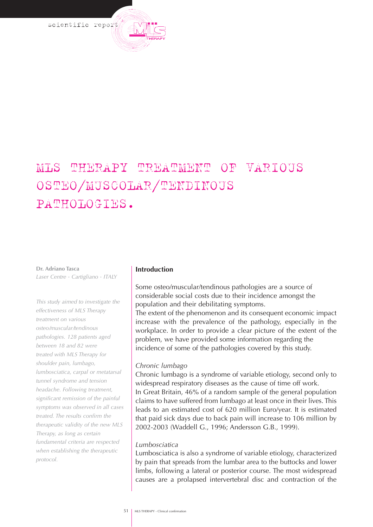# *MLS THERAPY TREATMENT OF VARIOUS OSTEO/MUSCOLAR/TENDINOUS PATHOLOGIES.*

**Dr. Adriano Tasca**  *Laser Centre - Cartigliano - ITALY*

*This study aimed to investigate the effectiveness of MLS Therapy treatment on various osteo/muscular/tendinous pathologies. 128 patients aged between 18 and 82 were treated with MLS Therapy for shoulder pain, lumbago, lumbosciatica, carpal or metatarsal tunnel syndrome and tension headache. Following treatment, significant remission of the painful symptoms was observed in all cases treated. The results confirm the therapeutic validity of the new MLS Therapy, as long as certain fundamental criteria are respected when establishing the therapeutic protocol.*

## **Introduction**

Some osteo/muscular/tendinous pathologies are a source of considerable social costs due to their incidence amongst the population and their debilitating symptoms.

The extent of the phenomenon and its consequent economic impact increase with the prevalence of the pathology, especially in the workplace. In order to provide a clear picture of the extent of the problem, we have provided some information regarding the incidence of some of the pathologies covered by this study.

## *Chronic lumbago*

Chronic lumbago is a syndrome of variable etiology, second only to widespread respiratory diseases as the cause of time off work. In Great Britain, 46% of a random sample of the general population claims to have suffered from lumbago at least once in their lives. This leads to an estimated cost of 620 million Euro/year. It is estimated that paid sick days due to back pain will increase to 106 million by 2002-2003 (Waddell G., 1996; Andersson G.B., 1999).

## *Lumbosciatica*

Lumbosciatica is also a syndrome of variable etiology, characterized by pain that spreads from the lumbar area to the buttocks and lower limbs, following a lateral or posterior course. The most widespread causes are a prolapsed intervertebral disc and contraction of the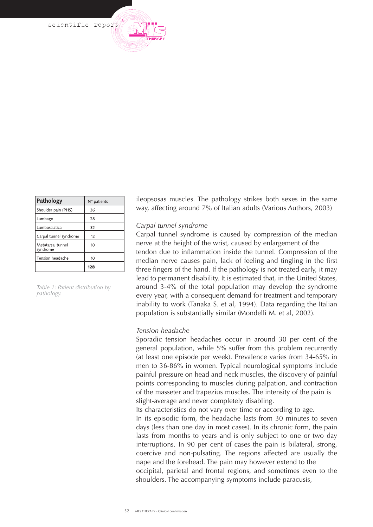| Pathology                     | $N^{\circ}$ patients |
|-------------------------------|----------------------|
| Shoulder pain (PHS)           | 36                   |
| Lumbago                       | 28                   |
| Lumbosciatica                 | 32                   |
| Carpal tunnel syndrome        | 12                   |
| Metatarsal tunnel<br>syndrome | 10                   |
| Tension headache              | 10                   |
|                               | 128                  |

*Table 1: Patient distribution by pathology.*

ileopsosas muscles. The pathology strikes both sexes in the same way, affecting around 7% of Italian adults (Various Authors, 2003)

## *Carpal tunnel syndrome*

Carpal tunnel syndrome is caused by compression of the median nerve at the height of the wrist, caused by enlargement of the tendon due to inflammation inside the tunnel. Compression of the median nerve causes pain, lack of feeling and tingling in the first three fingers of the hand. If the pathology is not treated early, it may lead to permanent disability. It is estimated that, in the United States, around 3-4% of the total population may develop the syndrome every year, with a consequent demand for treatment and temporary inability to work (Tanaka S. et al, 1994). Data regarding the Italian population is substantially similar (Mondelli M. et al, 2002).

#### *Tension headache*

Sporadic tension headaches occur in around 30 per cent of the general population, while 5% suffer from this problem recurrently (at least one episode per week). Prevalence varies from 34-65% in men to 36-86% in women. Typical neurological symptoms include painful pressure on head and neck muscles, the discovery of painful points corresponding to muscles during palpation, and contraction of the masseter and trapezius muscles. The intensity of the pain is slight-average and never completely disabling.

Its characteristics do not vary over time or according to age.

In its episodic form, the headache lasts from 30 minutes to seven days (less than one day in most cases). In its chronic form, the pain lasts from months to years and is only subject to one or two day interruptions. In 90 per cent of cases the pain is bilateral, strong, coercive and non-pulsating. The regions affected are usually the nape and the forehead. The pain may however extend to the occipital, parietal and frontal regions, and sometimes even to the shoulders. The accompanying symptoms include paracusis,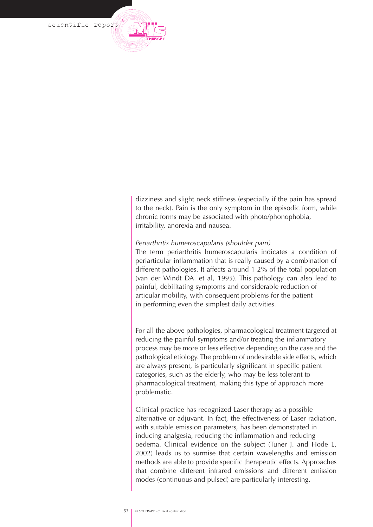dizziness and slight neck stiffness (especially if the pain has spread to the neck). Pain is the only symptom in the episodic form, while chronic forms may be associated with photo/phonophobia, irritability, anorexia and nausea.

#### *Periarthritis humeroscapularis (shoulder pain)*

The term periarthritis humeroscapularis indicates a condition of periarticular inflammation that is really caused by a combination of different pathologies. It affects around 1-2% of the total population (van der Windt DA. et al, 1995). This pathology can also lead to painful, debilitating symptoms and considerable reduction of articular mobility, with consequent problems for the patient in performing even the simplest daily activities.

For all the above pathologies, pharmacological treatment targeted at reducing the painful symptoms and/or treating the inflammatory process may be more or less effective depending on the case and the pathological etiology. The problem of undesirable side effects, which are always present, is particularly significant in specific patient categories, such as the elderly, who may be less tolerant to pharmacological treatment, making this type of approach more problematic.

Clinical practice has recognized Laser therapy as a possible alternative or adjuvant. In fact, the effectiveness of Laser radiation, with suitable emission parameters, has been demonstrated in inducing analgesia, reducing the inflammation and reducing oedema. Clinical evidence on the subject (Tuner J. and Hode L, 2002) leads us to surmise that certain wavelengths and emission methods are able to provide specific therapeutic effects. Approaches that combine different infrared emissions and different emission modes (continuous and pulsed) are particularly interesting.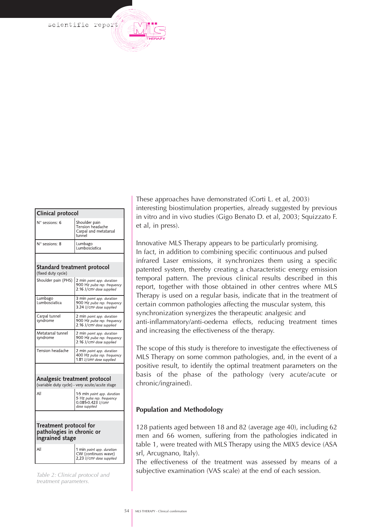| Clinical protocol                                                             |                                                                                                            |  |
|-------------------------------------------------------------------------------|------------------------------------------------------------------------------------------------------------|--|
| N° sessions: 6                                                                | Shoulder pain<br>Tension headache<br>Carpal and metatarsal<br>tunnel                                       |  |
| N° sessions: 8                                                                | Lumbago<br>Lumbosciatica                                                                                   |  |
|                                                                               |                                                                                                            |  |
| Standard treatment protocol<br>(fixed duty cycle)                             |                                                                                                            |  |
| Shoulder pain (PHS)                                                           | 2 min point app. duration<br>900 Hz pulse rep. frequency<br>2.16 J/cm <sup>2</sup> dose supplied           |  |
| Lumbago<br>Lumbosciatica                                                      | 3 min point app. duration<br>900 Hz pulse rep. frequency<br>3.24 J/cm <sup>2</sup> dose supplied           |  |
| Carpal tunnel<br>syndrome                                                     | 2 min point app. duration<br>900 Hz pulse rep. frequency<br>2.16 J/cm <sup>2</sup> dose supplied           |  |
| Metatarsal tunnel<br>syndrome                                                 | 2 min point app. duration<br>900 Hz pulse rep. frequency<br>2.16 J/cm <sup>2</sup> dose supplied           |  |
| Tension headache                                                              | 2 min point app. duration<br>400 Hz pulse rep. frequency<br>1.81 J/cm <sup>2</sup> dose supplied           |  |
|                                                                               |                                                                                                            |  |
| Analgesic treatment protocol                                                  | (variable duty cycle) - very acute/acute stage                                                             |  |
| All                                                                           | 1-5 min point app. duration<br>5 Hz pulse rep. frequency<br>0.085 0.423 J/cm <sup>2</sup><br>dose supplied |  |
|                                                                               |                                                                                                            |  |
| <b>Treatment protocol for</b><br>pathologies in chronic or<br>ingrained stage |                                                                                                            |  |
| All                                                                           | 1 min point app. duration<br>CW (continuos wave)<br>2,23 J/cm <sup>2</sup> dose supplied                   |  |
|                                                                               |                                                                                                            |  |

*Table 2: Clinical protocol and treatment parameters.*

These approaches have demonstrated (Corti L. et al, 2003) interesting biostimulation properties, already suggested by previous in vitro and in vivo studies (Gigo Benato D. et al, 2003; Squizzato F. et al, in press).

Innovative MLS Therapy appears to be particularly promising. In fact, in addition to combining specific continuous and pulsed infrared Laser emissions, it synchronizes them using a specific patented system, thereby creating a characteristic energy emission temporal pattern. The previous clinical results described in this report, together with those obtained in other centres where MLS Therapy is used on a regular basis, indicate that in the treatment of certain common pathologies affecting the muscular system, this synchronization synergizes the therapeutic analgesic and anti-inflammatory/anti-oedema effects, reducing treatment times and increasing the effectiveness of the therapy.

The scope of this study is therefore to investigate the effectiveness of MLS Therapy on some common pathologies, and, in the event of a positive result, to identify the optimal treatment parameters on the basis of the phase of the pathology (very acute/acute or chronic/ingrained).

## **Population and Methodology**

128 patients aged between 18 and 82 (average age 40), including 62 men and 66 women, suffering from the pathologies indicated in table 1, were treated with MLS Therapy using the MIX5 device (ASA srl, Arcugnano, Italy).

The effectiveness of the treatment was assessed by means of a subjective examination (VAS scale) at the end of each session.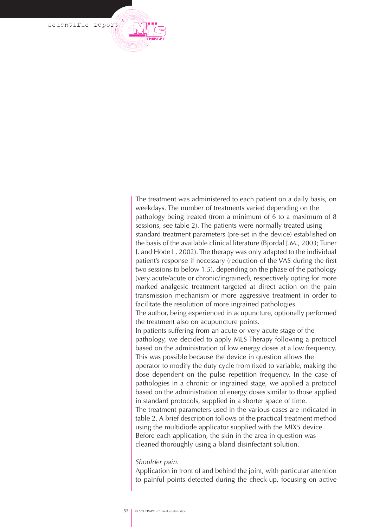The treatment was administered to each patient on a daily basis, on weekdays. The number of treatments varied depending on the pathology being treated (from a minimum of 6 to a maximum of 8 sessions, see table 2). The patients were normally treated using standard treatment parameters (pre-set in the device) established on the basis of the available clinical literature (Bjordal J.M., 2003; Tuner J. and Hode L, 2002). The therapy was only adapted to the individual patient's response if necessary (reduction of the VAS during the first two sessions to below 1.5), depending on the phase of the pathology (very acute/acute or chronic/ingrained), respectively opting for more marked analgesic treatment targeted at direct action on the pain transmission mechanism or more aggressive treatment in order to facilitate the resolution of more ingrained pathologies.

The author, being experienced in acupuncture, optionally performed the treatment also on acupuncture points.

In patients suffering from an acute or very acute stage of the pathology, we decided to apply MLS Therapy following a protocol based on the administration of low energy doses at a low frequency. This was possible because the device in question allows the

operator to modify the duty cycle from fixed to variable, making the dose dependent on the pulse repetition frequency. In the case of pathologies in a chronic or ingrained stage, we applied a protocol based on the administration of energy doses similar to those applied in standard protocols, supplied in a shorter space of time.

The treatment parameters used in the various cases are indicated in table 2. A brief description follows of the practical treatment method using the multidiode applicator supplied with the MIX5 device. Before each application, the skin in the area in question was cleaned thoroughly using a bland disinfectant solution.

#### *Shoulder pain.*

Application in front of and behind the joint, with particular attention to painful points detected during the check-up, focusing on active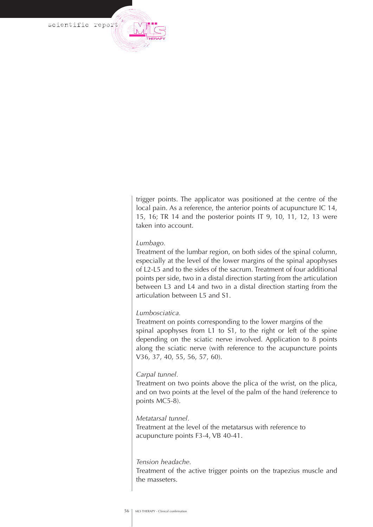trigger points. The applicator was positioned at the centre of the local pain. As a reference, the anterior points of acupuncture IC 14, 15, 16; TR 14 and the posterior points IT 9, 10, 11, 12, 13 were taken into account.

## *Lumbago.*

Treatment of the lumbar region, on both sides of the spinal column, especially at the level of the lower margins of the spinal apophyses of L2-L5 and to the sides of the sacrum. Treatment of four additional points per side, two in a distal direction starting from the articulation between L3 and L4 and two in a distal direction starting from the articulation between L5 and S1.

## *Lumbosciatica.*

Treatment on points corresponding to the lower margins of the spinal apophyses from L1 to S1, to the right or left of the spine depending on the sciatic nerve involved. Application to 8 points along the sciatic nerve (with reference to the acupuncture points V36, 37, 40, 55, 56, 57, 60).

## *Carpal tunnel.*

Treatment on two points above the plica of the wrist, on the plica, and on two points at the level of the palm of the hand (reference to points MC5-8).

## *Metatarsal tunnel.*

Treatment at the level of the metatarsus with reference to acupuncture points F3-4, VB 40-41.

## *Tension headache.*

Treatment of the active trigger points on the trapezius muscle and the masseters.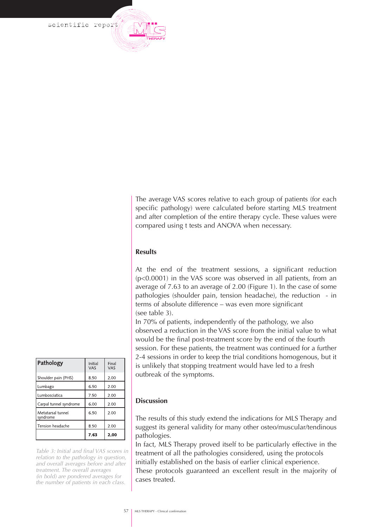The average VAS scores relative to each group of patients (for each specific pathology) were calculated before starting MLS treatment and after completion of the entire therapy cycle. These values were compared using t tests and ANOVA when necessary.

#### **Results**

At the end of the treatment sessions, a significant reduction (p<0.0001) in the VAS score was observed in all patients, from an average of 7.63 to an average of 2.00 (Figure 1). In the case of some pathologies (shoulder pain, tension headache), the reduction - in terms of absolute difference – was even more significant (see table 3).

In 70% of patients, independently of the pathology, we also observed a reduction in the VAS score from the initial value to what would be the final post-treatment score by the end of the fourth session. For these patients, the treatment was continued for a further 2-4 sessions in order to keep the trial conditions homogenous, but it is unlikely that stopping treatment would have led to a fresh outbreak of the symptoms.

| Pathology                     | Initial<br>VAS | Final<br>VAS |
|-------------------------------|----------------|--------------|
| Shoulder pain (PHS)           | 8.50           | 2.00         |
| Lumbago                       | 6.50           | 2.00         |
| Lumbosciatica                 | 7.50           | 2.00         |
| Carpal tunnel syndrome        | 6.00           | 2.00         |
| Metatarsal tunnel<br>syndrome | 6.50           | 2.00         |
| Tension headache              | 8.50           | 2.00         |
|                               | 7.63           | 2.00         |

*Table 3: Initial and final VAS scores in relation to the pathology in question, and overall averages before and after treatment. The overall averages (in bold) are pondered averages for the number of patients in each class.*

## **Discussion**

The results of this study extend the indications for MLS Therapy and suggest its general validity for many other osteo/muscular/tendinous pathologies.

In fact, MLS Therapy proved itself to be particularly effective in the treatment of all the pathologies considered, using the protocols initially established on the basis of earlier clinical experience. These protocols guaranteed an excellent result in the majority of cases treated.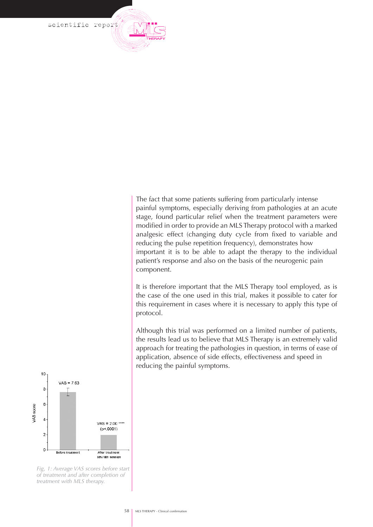The fact that some patients suffering from particularly intense painful symptoms, especially deriving from pathologies at an acute stage, found particular relief when the treatment parameters were modified in order to provide an MLS Therapy protocol with a marked analgesic effect (changing duty cycle from fixed to variable and reducing the pulse repetition frequency), demonstrates how important it is to be able to adapt the therapy to the individual patient's response and also on the basis of the neurogenic pain component.

It is therefore important that the MLS Therapy tool employed, as is the case of the one used in this trial, makes it possible to cater for this requirement in cases where it is necessary to apply this type of protocol.

Although this trial was performed on a limited number of patients, the results lead us to believe that MLS Therapy is an extremely valid approach for treating the pathologies in question, in terms of ease of application, absence of side effects, effectiveness and speed in reducing the painful symptoms.



*Fig, 1: Average VAS scores before start of treatment and after completion of treatment with MLS therapy.*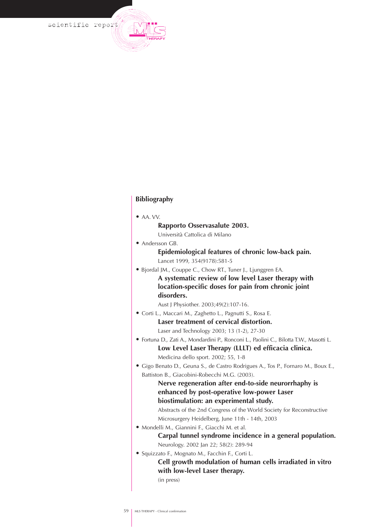## **Bibliography**

```
\bullet AA, VV.
```
## **Rapporto Osservasalute 2003.**

Università Cattolica di Milano

• Andersson GB.

**Epidemiological features of chronic low-back pain.**  Lancet 1999, 354(9178):581-5

• Bjordal JM., Couppe C., Chow RT., Tuner J., Ljunggren EA. **A systematic review of low level Laser therapy with location-specific doses for pain from chronic joint disorders.** 

Aust J Physiother. 2003;49(2):107-16.

- Corti L., Maccari M., Zaghetto L., Pagnutti S., Rosa E. **Laser treatment of cervical distortion.**  Laser and Technology 2003; 13 (1-2), 27-30
- Fortuna D., Zati A., Mondardini P., Ronconi L., Paolini C., Bilotta T.W., Masotti L. **Low Level Laser Therapy (LLLT) ed efficacia clinica.**  Medicina dello sport. 2002; 55, 1-8
- Gigo Benato D., Geuna S., de Castro Rodrigues A., Tos P., Fornaro M., Boux E., Battiston B., Giacobini-Robecchi M.G. (2003).

**Nerve regeneration after end-to-side neurorrhaphy is enhanced by post-operative low-power Laser biostimulation: an experimental study.** 

Abstracts of the 2nd Congress of the World Society for Reconstructive Microsurgery Heidelberg, June 11th - 14th, 2003

• Mondelli M., Giannini F., Giacchi M. et al.

**Carpal tunnel syndrome incidence in a general population.** Neurology. 2002 Jan 22; 58(2): 289-94

• Squizzato F., Mognato M., Facchin F., Corti L.

**Cell growth modulation of human cells irradiated in vitro with low-level Laser therapy.** 

(in press)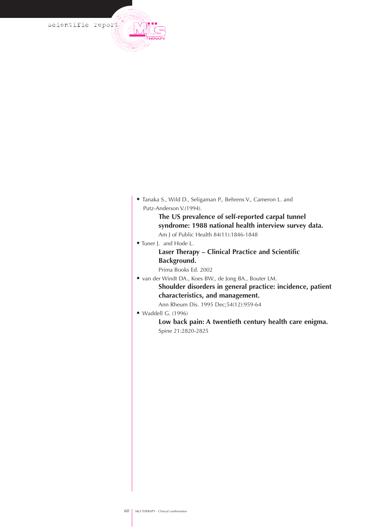• Tanaka S., Wild D., Seligaman P., Behrens V., Cameron L. and Putz-Anderson V.(1994). **The US prevalence of self-reported carpal tunnel syndrome: 1988 national health interview survey data.**  Am J of Public Health 84(11):1846-1848 • Tuner J. and Hode L. **Laser Therapy – Clinical Practice and Scientific Background.** Prima Books Ed. 2002 • van der Windt DA., Koes BW., de Jong BA., Bouter LM. **Shoulder disorders in general practice: incidence, patient characteristics, and management.**  Ann Rheum Dis. 1995 Dec;54(12):959-64 • Waddell G. (1996) **Low back pain: A twentieth century health care enigma.**  Spine 21:2820-2825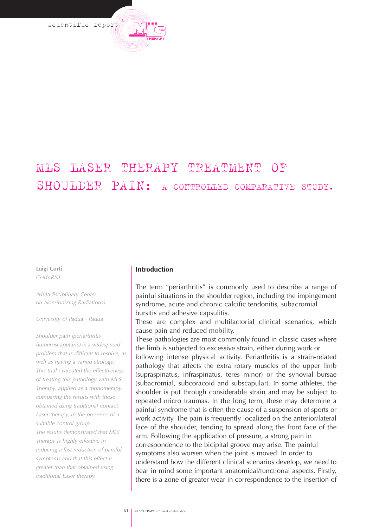## *MLS LASER THERAPY TREATMENT OF SHOULDER PAIN: A CONTROLLED COMPARATIVE STUDY.*

**Luigi Corti** *CeMuRNI* 

*(Multidisciplinary Center on Non-ionizing Radiations)* 

*University of Padua - Padua*

*Shoulder pain (periarthritis humeroscapularis) is a widespread problem that is difficult to resolve, as well as having a varied etiology. This trial evaluated the effectiveness of treating this pathology with MLS Therapy, applied as a monotherapy, comparing the results with those obtained using traditional contact Laser therapy, in the presence of a suitable control group. The results demonstrated that MLS Therapy is highly effective in inducing a fast reduction of painful symptoms and that this effect is greater than that obtained using traditional Laser therapy.* 

## **Introduction**

The term "periarthritis" is commonly used to describe a range of painful situations in the shoulder region, including the impingement syndrome, acute and chronic calcific tendonitis, subacromial bursitis and adhesive capsulitis.

These are complex and multifactorial clinical scenarios, which cause pain and reduced mobility.

These pathologies are most commonly found in classic cases where the limb is subjected to excessive strain, either during work or

following intense physical activity. Periarthritis is a strain-related pathology that affects the extra rotary muscles of the upper limb (supraspinatus, infraspinatus, teres minor) or the synovial bursae (subacromial, subcoracoid and subscapular). In some athletes, the shoulder is put through considerable strain and may be subject to repeated micro traumas. In the long term, these may determine a painful syndrome that is often the cause of a suspension of sports or work activity. The pain is frequently localized on the anterior/lateral face of the shoulder, tending to spread along the front face of the arm. Following the application of pressure, a strong pain in correspondence to the bicipital groove may arise. The painful symptoms also worsen when the joint is moved. In order to understand how the different clinical scenarios develop, we need to bear in mind some important anatomical/functional aspects. Firstly, there is a zone of greater wear in correspondence to the insertion of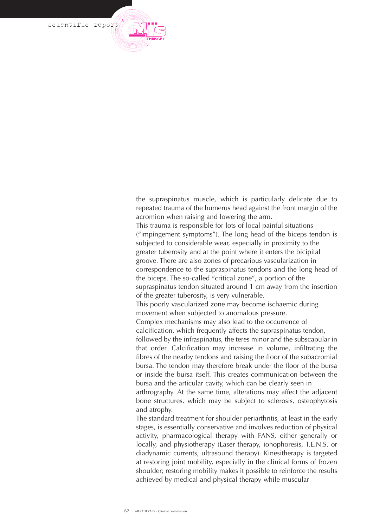the supraspinatus muscle, which is particularly delicate due to repeated trauma of the humerus head against the front margin of the acromion when raising and lowering the arm.

This trauma is responsible for lots of local painful situations ("impingement symptoms"). The long head of the biceps tendon is subjected to considerable wear, especially in proximity to the greater tuberosity and at the point where it enters the bicipital groove. There are also zones of precarious vascularization in correspondence to the supraspinatus tendons and the long head of the biceps. The so-called "critical zone", a portion of the supraspinatus tendon situated around 1 cm away from the insertion of the greater tuberosity, is very vulnerable.

This poorly vascularized zone may become ischaemic during movement when subjected to anomalous pressure.

Complex mechanisms may also lead to the occurrence of calcification, which frequently affects the supraspinatus tendon,

followed by the infraspinatus, the teres minor and the subscapular in that order. Calcification may increase in volume, infiltrating the fibres of the nearby tendons and raising the floor of the subacromial bursa. The tendon may therefore break under the floor of the bursa or inside the bursa itself. This creates communication between the bursa and the articular cavity, which can be clearly seen in

arthrography. At the same time, alterations may affect the adjacent bone structures, which may be subject to sclerosis, osteophytosis and atrophy.

The standard treatment for shoulder periarthritis, at least in the early stages, is essentially conservative and involves reduction of physical activity, pharmacological therapy with FANS, either generally or locally, and physiotherapy (Laser therapy, ionophoresis, T.E.N.S. or diadynamic currents, ultrasound therapy). Kinesitherapy is targeted at restoring joint mobility, especially in the clinical forms of frozen shoulder; restoring mobility makes it possible to reinforce the results achieved by medical and physical therapy while muscular

MLS THERAPY - Clinical confirmation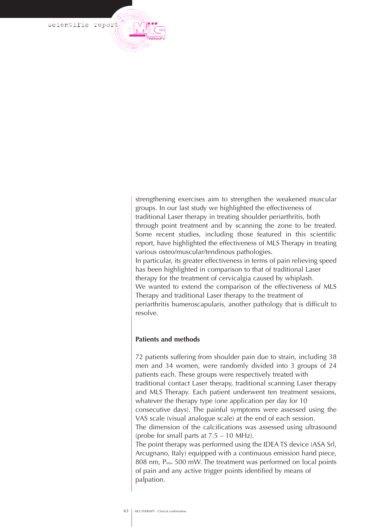strengthening exercises aim to strengthen the weakened muscular groups. In our last study we highlighted the effectiveness of traditional Laser therapy in treating shoulder periarthritis, both through point treatment and by scanning the zone to be treated. Some recent studies, including those featured in this scientific report, have highlighted the effectiveness of MLS Therapy in treating various osteo/muscular/tendinous pathologies. In particular, its greater effectiveness in terms of pain relieving speed has been highlighted in comparison to that of traditional Laser therapy for the treatment of cervicalgia caused by whiplash. We wanted to extend the comparison of the effectiveness of MLS Therapy and traditional Laser therapy to the treatment of periarthritis humeroscapularis, another pathology that is difficult to resolve.

## **Patients and methods**

72 patients suffering from shoulder pain due to strain, including 38 men and 34 women, were randomly divided into 3 groups of 24 patients each. These groups were respectively treated with traditional contact Laser therapy, traditional scanning Laser therapy and MLS Therapy. Each patient underwent ten treatment sessions, whatever the therapy type (one application per day for 10 consecutive days). The painful symptoms were assessed using the VAS scale (visual analogue scale) at the end of each session. The dimension of the calcifications was assessed using ultrasound (probe for small parts at 7.5 – 10 MHz). The point therapy was performed using the IDEA TS device (ASA Srl, Arcugnano, Italy) equipped with a continuous emission hand piece, 808 nm, Pmax 500 mW. The treatment was performed on local points of pain and any active trigger points identified by means of palpation.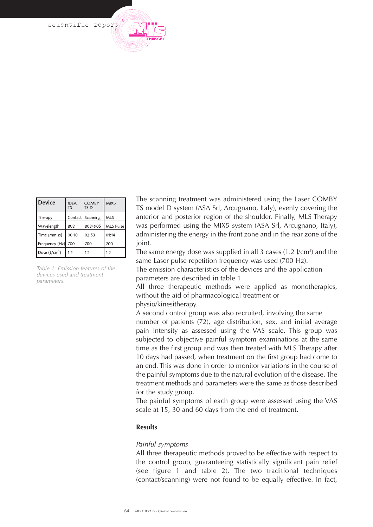| <b>Device</b>  | <b>IDEA</b><br>TS | <b>COMBY</b><br>TS D | MIX5       |
|----------------|-------------------|----------------------|------------|
| Therapy        |                   | Contact Scanning     | <b>MLS</b> |
| Wavelength     | 808               | 808+905              | MLS Pulse  |
| Time (mm:ss)   | 00:10             | 02:53                | 01:14      |
| Frequency (Hz) | 700               | 700                  | 700        |
| Dose $(J/cm2)$ | 12                | 1.2                  | 1.2        |

*Table 1: Emission features of the devices used and treatment parameters.*

The scanning treatment was administered using the Laser COMBY TS model D system (ASA Srl, Arcugnano, Italy), evenly covering the anterior and posterior region of the shoulder. Finally, MLS Therapy was performed using the MIX5 system (ASA Srl, Arcugnano, Italy), administering the energy in the front zone and in the rear zone of the joint.

The same energy dose was supplied in all 3 cases  $(1.2 \text{ J/cm}^2)$  and the same Laser pulse repetition frequency was used (700 Hz).

The emission characteristics of the devices and the application parameters are described in table 1.

All three therapeutic methods were applied as monotherapies, without the aid of pharmacological treatment or

physio/kinesitherapy.

A second control group was also recruited, involving the same number of patients (72), age distribution, sex, and initial average pain intensity as assessed using the VAS scale. This group was subjected to objective painful symptom examinations at the same time as the first group and was then treated with MLS Therapy after 10 days had passed, when treatment on the first group had come to an end. This was done in order to monitor variations in the course of the painful symptoms due to the natural evolution of the disease. The treatment methods and parameters were the same as those described for the study group.

The painful symptoms of each group were assessed using the VAS scale at 15, 30 and 60 days from the end of treatment.

## **Results**

## *Painful symptoms*

All three therapeutic methods proved to be effective with respect to the control group, guaranteeing statistically significant pain relief (see figure 1 and table 2). The two traditional techniques (contact/scanning) were not found to be equally effective. In fact,

MLS THERAPY - Clinical confirmation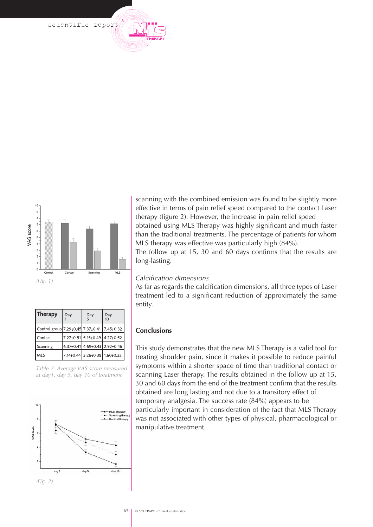

*(Fig. 1)*

| <b>Therapy</b>                    | Day | Day<br>5                      | Day<br>10     |
|-----------------------------------|-----|-------------------------------|---------------|
| Control group 7 29+0 45 7 37+0 41 |     |                               | 7 45 + 0.32   |
| Contact                           |     | 7 27+0 51 5 15+0 49           | $4.27 + 0.52$ |
| Scanning                          |     | 6 37+0 41 4 69+0 43 2 92+0 46 |               |
| <b>MLS</b>                        |     | 7.14+0.44 3.26+0.38 1.60+0.32 |               |

*Table 2: Average VAS score measured at day1, day 5, day 10 of treatment*



scanning with the combined emission was found to be slightly more effective in terms of pain relief speed compared to the contact Laser therapy (figure 2). However, the increase in pain relief speed obtained using MLS Therapy was highly significant and much faster than the traditional treatments. The percentage of patients for whom MLS therapy was effective was particularly high (84%). The follow up at 15, 30 and 60 days confirms that the results are long-lasting.

#### *Calcification dimensions*

As far as regards the calcification dimensions, all three types of Laser treatment led to a significant reduction of approximately the same entity.

## **Conclusions**

This study demonstrates that the new MLS Therapy is a valid tool for treating shoulder pain, since it makes it possible to reduce painful symptoms within a shorter space of time than traditional contact or scanning Laser therapy. The results obtained in the follow up at 15, 30 and 60 days from the end of the treatment confirm that the results obtained are long lasting and not due to a transitory effect of temporary analgesia. The success rate (84%) appears to be particularly important in consideration of the fact that MLS Therapy was not associated with other types of physical, pharmacological or manipulative treatment.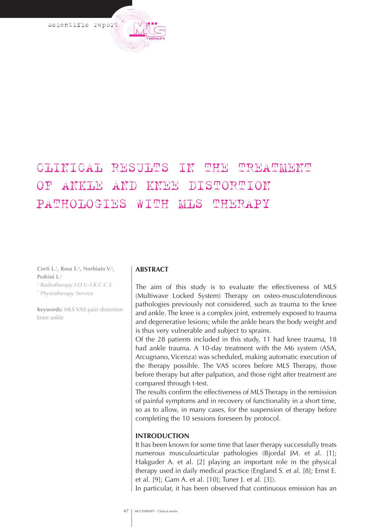# *CLINICAL RESULTS IN THE TREATMENT OF ANKLE AND KNEE DISTORTION PATHOLOGIES WITH MLS THERAPY*

**Corti L.<sup>1</sup> , Rosa E.<sup>2</sup> , Norbiato V.<sup>2</sup> , Pedrini L.<sup>1</sup>**

*1 Radiotherapy I.O.V.-I.R.C.C.S. 2 Physiotherapy Service*

**Keywords:** MLS VAS pain distortion knee ankle

## **ABSTRACT**

The aim of this study is to evaluate the effectiveness of MLS (Multiwave Locked System) Therapy on osteo-musculotendinous pathologies previously not considered, such as trauma to the knee and ankle. The knee is a complex joint, extremely exposed to trauma and degenerative lesions; while the ankle bears the body weight and is thus very vulnerable and subject to sprains.

Of the 28 patients included in this study, 11 had knee trauma, 18 had ankle trauma. A 10-day treatment with the M6 system (ASA, Arcugnano, Vicenza) was scheduled, making automatic execution of the therapy possible. The VAS scores before MLS Therapy, those before therapy but after palpation, and those right after treatment are compared through t-test.

The results confirm the effectiveness of MLS Therapy in the remission of painful symptoms and in recovery of functionality in a short time, so as to allow, in many cases, for the suspension of therapy before completing the 10 sessions foreseen by protocol.

## **INTRODUCTION**

It has been known for some time that laser therapy successfully treats numerous musculoarticular pathologies (Bjordal JM. et al. [1]; Hakguder A. et al. [2] playing an important role in the physical therapy used in daily medical practice (England S. et al. [8]; Ernst E. et al. [9]; Gam A. et al. [10]; Tuner J. et al. [3]).

In particular, it has been observed that continuous emission has an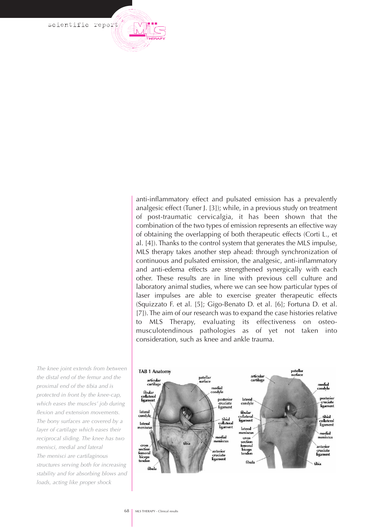anti-inflammatory effect and pulsated emission has a prevalently analgesic effect (Tuner J. [3]); while, in a previous study on treatment of post-traumatic cervicalgia, it has been shown that the combination of the two types of emission represents an effective way of obtaining the overlapping of both therapeutic effects (Corti L., et al. [4]). Thanks to the control system that generates the MLS impulse, MLS therapy takes another step ahead: through synchronization of continuous and pulsated emission, the analgesic, anti-inflammatory and anti-edema effects are strengthened synergically with each other. These results are in line with previous cell culture and laboratory animal studies, where we can see how particular types of laser impulses are able to exercise greater therapeutic effects (Squizzato F. et al. [5]; Gigo-Benato D. et al. [6]; Fortuna D. et al. [7]). The aim of our research was to expand the case histories relative to MLS Therapy, evaluating its effectiveness on osteomusculotendinous pathologies as of yet not taken into consideration, such as knee and ankle trauma.

**TAB 1 Anatomy** patellar<br>surface articular patella<br>surface articular cartilage cartilage medial<br>condyle medial<br>condyle fibular collatera nosterior lateral ligament posterior *cruciate*<br>ligament cruciate condvle ligament lateral fibular condyle ollateral tibial ligament collateral collateral<br>ligament lateral ligament meniscu lateral meniscus medial medial meniscus cross sectior cross femoral anterior section biceps<br>tendon anterior cruciate<br>ligament section<br>femoral<br>biceps<br>tendon cruciate igamen fibul ....<br>Shin  $GL<sub>1</sub>$ 

*The knee joint extends from between the distal end of the femur and the proximal end of the tibia and is protected in front by the knee-cap, which eases the muscles' job during flexion and extension movements. The bony surfaces are covered by a layer of cartilage which eases their reciprocal sliding. The knee has two menisci, medial and lateral The menisci are cartilaginous structures serving both for increasing stability and for absorbing blows and loads, acting like proper shock*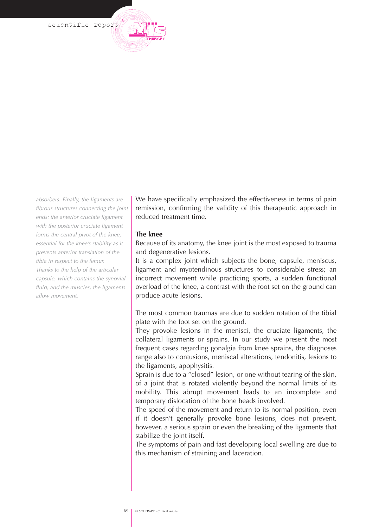*absorbers. Finally, the ligaments are fibrous structures connecting the joint ends: the anterior cruciate ligament with the posterior cruciate ligament forms the central pivot of the knee, essential for the knee's stability as it prevents anterior translation of the tibia in respect to the femur. Thanks to the help of the articular capsule, which contains the synovial fluid, and the muscles, the ligaments allow movement.*

We have specifically emphasized the effectiveness in terms of pain remission, confirming the validity of this therapeutic approach in reduced treatment time.

#### **The knee**

Because of its anatomy, the knee joint is the most exposed to trauma and degenerative lesions.

It is a complex joint which subjects the bone, capsule, meniscus, ligament and myotendinous structures to considerable stress; an incorrect movement while practicing sports, a sudden functional overload of the knee, a contrast with the foot set on the ground can produce acute lesions.

The most common traumas are due to sudden rotation of the tibial plate with the foot set on the ground.

They provoke lesions in the menisci, the cruciate ligaments, the collateral ligaments or sprains. In our study we present the most frequent cases regarding gonalgia from knee sprains, the diagnoses range also to contusions, meniscal alterations, tendonitis, lesions to the ligaments, apophysitis.

Sprain is due to a "closed" lesion, or one without tearing of the skin, of a joint that is rotated violently beyond the normal limits of its mobility. This abrupt movement leads to an incomplete and temporary dislocation of the bone heads involved.

The speed of the movement and return to its normal position, even if it doesn't generally provoke bone lesions, does not prevent, however, a serious sprain or even the breaking of the ligaments that stabilize the joint itself.

The symptoms of pain and fast developing local swelling are due to this mechanism of straining and laceration.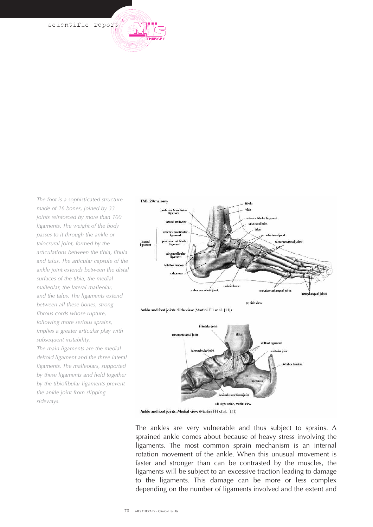*The foot is a sophisticated structure made of 26 bones, joined by 33 joints reinforced by more than 100 ligaments. The weight of the body passes to it through the ankle or talocrural joint, formed by the articulations between the tibia, fibula and talus. The articular capsule of the ankle joint extends between the distal surfaces of the tibia, the medial malleolar, the lateral malleolar, and the talus. The ligaments extend between all these bones, strong fibrous cords whose rupture, following more serious sprains, implies a greater articular play with subsequent instability. The main ligaments are the medial deltoid ligament and the three lateral*

*ligaments. The malleolars, supported by these ligaments and held together by the tibiofibular ligaments prevent the ankle joint from slipping sideways.*



Ankle and foot joints. Side view (Martini FH et al. [11])



Ankle and foot joints. Medial view (Martini FH et al. [11])

The ankles are very vulnerable and thus subject to sprains. A sprained ankle comes about because of heavy stress involving the ligaments. The most common sprain mechanism is an internal rotation movement of the ankle. When this unusual movement is faster and stronger than can be contrasted by the muscles, the ligaments will be subject to an excessive traction leading to damage to the ligaments. This damage can be more or less complex depending on the number of ligaments involved and the extent and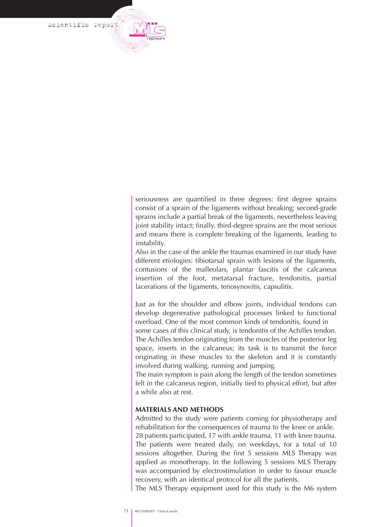seriousness are quantified in three degrees: first degree sprains consist of a sprain of the ligaments without breaking; second-grade sprains include a partial break of the ligaments, nevertheless leaving joint stability intact; finally, third-degree sprains are the most serious and means there is complete breaking of the ligaments, leading to instability.

Also in the case of the ankle the traumas examined in our study have different etiologies: tibiotarsal sprain with lesions of the ligaments, contusions of the malleolars, plantar fascitis of the calcaneus insertion of the foot, metatarsal fracture, tendonitis, partial lacerations of the ligaments, tenosynovitis, capsulitis.

Just as for the shoulder and elbow joints, individual tendons can develop degenerative pathological processes linked to functional overload. One of the most common kinds of tendonitis, found in some cases of this clinical study, is tendonitis of the Achilles tendon. The Achilles tendon originating from the muscles of the posterior leg space, inserts in the calcaneus; its task is to transmit the force originating in these muscles to the skeleton and it is constantly involved during walking, running and jumping.

The main symptom is pain along the length of the tendon sometimes felt in the calcaneus region, initially tied to physical effort, but after a while also at rest.

## **MATERIALS AND METHODS**

Admitted to the study were patients coming for physiotherapy and rehabilitation for the consequences of trauma to the knee or ankle.

28 patients participated, 17 with ankle trauma, 11 with knee trauma. The patients were treated daily, on weekdays, for a total of 10 sessions altogether. During the first 5 sessions MLS Therapy was applied as monotherapy. In the following 5 sessions MLS Therapy was accompanied by electrostimulation in order to favour muscle recovery, with an identical protocol for all the patients.

The MLS Therapy equipment used for this study is the M6 system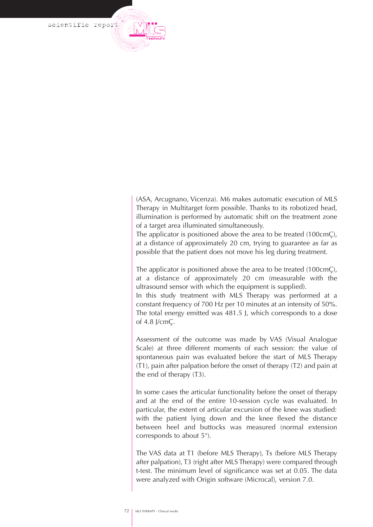(ASA, Arcugnano, Vicenza). M6 makes automatic execution of MLS Therapy in Multitarget form possible. Thanks to its robotized head, illumination is performed by automatic shift on the treatment zone of a target area illuminated simultaneously.

The applicator is positioned above the area to be treated (100cmÇ), at a distance of approximately 20 cm, trying to guarantee as far as possible that the patient does not move his leg during treatment.

The applicator is positioned above the area to be treated (100cmÇ), at a distance of approximately 20 cm (measurable with the ultrasound sensor with which the equipment is supplied).

In this study treatment with MLS Therapy was performed at a constant frequency of 700 Hz per 10 minutes at an intensity of 50%. The total energy emitted was 481.5 J, which corresponds to a dose of 4.8 J/cmÇ.

Assessment of the outcome was made by VAS (Visual Analogue Scale) at three different moments of each session: the value of spontaneous pain was evaluated before the start of MLS Therapy (T1), pain after palpation before the onset of therapy (T2) and pain at the end of therapy (T3).

In some cases the articular functionality before the onset of therapy and at the end of the entire 10-session cycle was evaluated. In particular, the extent of articular excursion of the knee was studied: with the patient lying down and the knee flexed the distance between heel and buttocks was measured (normal extension corresponds to about 5°).

The VAS data at T1 (before MLS Therapy), Ts (before MLS Therapy after palpation), T3 (right after MLS Therapy) were compared through t-test. The minimum level of significance was set at 0.05. The data were analyzed with Origin software (Microcal), version 7.0.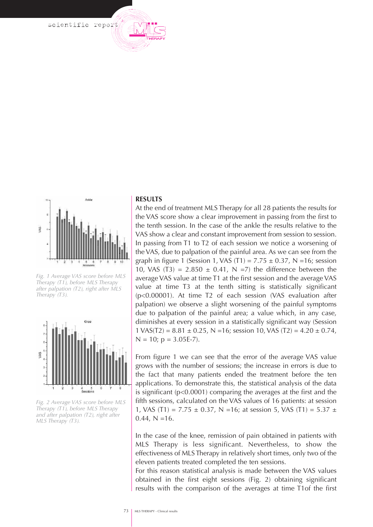

*Fig. 1 Average VAS score before MLS Therapy (T1), before MLS Therapy after palpation (T2), right after MLS Therapy (T3).*



*Fig. 2 Average VAS score before MLS Therapy (T1), before MLS Therapy and after palpation (T2), right after MLS Therapy (T3).*

#### **RESULTS**

At the end of treatment MLS Therapy for all 28 patients the results for the VAS score show a clear improvement in passing from the first to the tenth session. In the case of the ankle the results relative to the VAS show a clear and constant improvement from session to session. In passing from T1 to T2 of each session we notice a worsening of the VAS, due to palpation of the painful area. As we can see from the graph in figure 1 (Session 1, VAS  $(T1) = 7.75 \pm 0.37$ , N = 16; session 10, VAS (T3) =  $2.850 \pm 0.41$ , N =7) the difference between the average VAS value at time T1 at the first session and the average VAS value at time T3 at the tenth sitting is statistically significant (p<0.00001). At time T2 of each session (VAS evaluation after palpation) we observe a slight worsening of the painful symptoms due to palpation of the painful area; a value which, in any case, diminishes at every session in a statistically significant way (Session  $1 \text{ VAS}(T2) = 8.81 \pm 0.25$ , N = 16; session 10, VAS (T2) = 4.20  $\pm$  0.74,  $N = 10$ ;  $p = 3.05E-7$ ).

From figure 1 we can see that the error of the average VAS value grows with the number of sessions; the increase in errors is due to the fact that many patients ended the treatment before the ten applications. To demonstrate this, the statistical analysis of the data is significant (p<0.0001) comparing the averages at the first and the fifth sessions, calculated on the VAS values of 16 patients: at session 1, VAS (T1) = 7.75  $\pm$  0.37, N = 16; at session 5, VAS (T1) = 5.37  $\pm$  $0.44, N = 16.$ 

In the case of the knee, remission of pain obtained in patients with MLS Therapy is less significant. Nevertheless, to show the effectiveness of MLS Therapy in relatively short times, only two of the eleven patients treated completed the ten sessions.

For this reason statistical analysis is made between the VAS values obtained in the first eight sessions (Fig. 2) obtaining significant results with the comparison of the averages at time T1of the first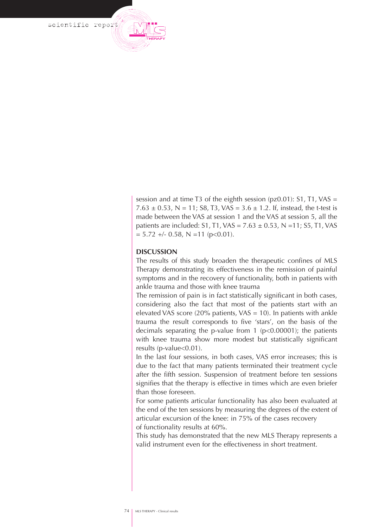session and at time T3 of the eighth session (pz0.01): S1, T1, VAS = 7.63  $\pm$  0.53, N = 11; S8, T3, VAS = 3.6  $\pm$  1.2. If, instead, the t-test is made between the VAS at session 1 and the VAS at session 5, all the patients are included: S1, T1, VAS =  $7.63 \pm 0.53$ , N = 11; S5, T1, VAS  $= 5.72 + (-0.58, N = 11 (p < 0.01).$ 

## **DISCUSSION**

The results of this study broaden the therapeutic confines of MLS Therapy demonstrating its effectiveness in the remission of painful symptoms and in the recovery of functionality, both in patients with ankle trauma and those with knee trauma

The remission of pain is in fact statistically significant in both cases, considering also the fact that most of the patients start with an elevated VAS score (20% patients, VAS = 10). In patients with ankle trauma the result corresponds to five 'stars', on the basis of the decimals separating the p-value from 1 ( $p<0.00001$ ); the patients with knee trauma show more modest but statistically significant results (p-value<0.01).

In the last four sessions, in both cases, VAS error increases; this is due to the fact that many patients terminated their treatment cycle after the fifth session. Suspension of treatment before ten sessions signifies that the therapy is effective in times which are even briefer than those foreseen.

For some patients articular functionality has also been evaluated at the end of the ten sessions by measuring the degrees of the extent of articular excursion of the knee: in 75% of the cases recovery of functionality results at 60%.

This study has demonstrated that the new MLS Therapy represents a valid instrument even for the effectiveness in short treatment.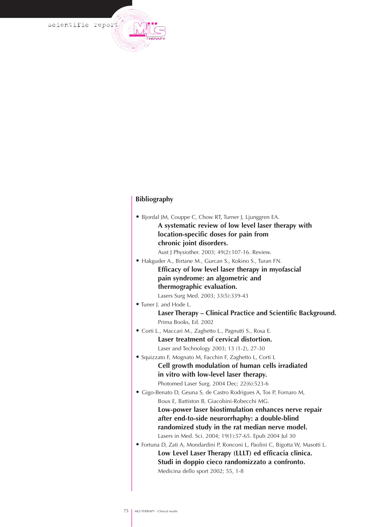r

## **Bibliography**

| · Bjordal JM, Couppe C, Chow RT, Turner J, Ljunggren EA.                       |
|--------------------------------------------------------------------------------|
| A systematic review of low level laser therapy with                            |
| location-specific doses for pain from                                          |
| chronic joint disorders.                                                       |
| Aust J Physiother. 2003; 49(2):107-16. Review.                                 |
| · Hakguder A., Birtane M., Gurcan S., Kokino S., Turan FN.                     |
| Efficacy of low level laser therapy in myofascial                              |
| pain syndrome: an algometric and                                               |
| thermographic evaluation.                                                      |
| Lasers Surg Med. 2003; 33(5):339-43                                            |
| • Tuner J. and Hode L.                                                         |
| Laser Therapy – Clinical Practice and Scientific Background.                   |
| Prima Books, Ed. 2002                                                          |
| · Corti L., Maccari M., Zaghetto L., Pagnutti S., Rosa E.                      |
| Laser treatment of cervical distortion.                                        |
| Laser and Technology 2003; 13 (1-2), 27-30                                     |
| · Squizzato F, Mognato M, Facchin F, Zaghetto L, Corti L                       |
| Cell growth modulation of human cells irradiated                               |
| in vitro with low-level laser therapy.                                         |
| Photomed Laser Surg. 2004 Dec; 22(6):523-6                                     |
| • Gigo-Benato D, Geuna S, de Castro Rodrigues A, Tos P, Fornaro M,             |
| Boux E, Battiston B, Giacobini-Robecchi MG.                                    |
| Low-power laser biostimulation enhances nerve repair                           |
| after end-to-side neurorrhaphy: a double-blind                                 |
| randomized study in the rat median nerve model.                                |
| Lasers in Med. Sci. 2004; 19(1):57-65. Epub 2004 Jul 30                        |
| · Fortuna D, Zati A, Mondardini P, Ronconi L, Paolini C, Bigotta W, Masotti L. |
| Low Level Laser Therapy (LLLT) ed efficacia clinica.                           |
| Studi in doppio cieco randomizzato a confronto.                                |
| Medicina dello sport 2002; 55, 1-8                                             |
|                                                                                |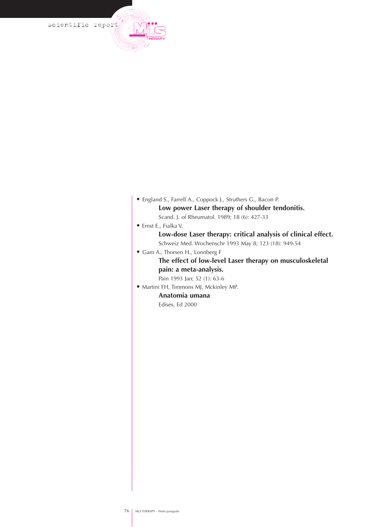- England S., Farrell A., Coppock J., Struthers G., Bacon P. **Low power Laser therapy of shoulder tendonitis.**  Scand. J. of Rheumatol. 1989; 18 (6): 427-33
- Ernst E., Fialka V.
	- **Low-dose Laser therapy: critical analysis of clinical effect.** Schweiz Med. Wochenschr 1993 May 8; 123 (18): 949-54
- Gam A., Thorsen H., Lonnberg F
	- **The effect of low-level Laser therapy on musculoskeletal pain: a meta-analysis.**

Pain 1993 Jan; 52 (1): 63-6

- Martini FH, Timmons MJ, Mckinley MP.
	- **Anatomia umana** Edises, Ed 2000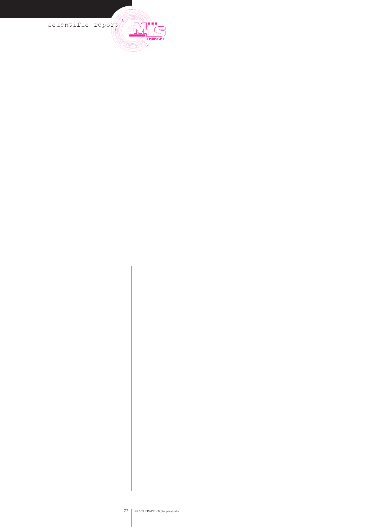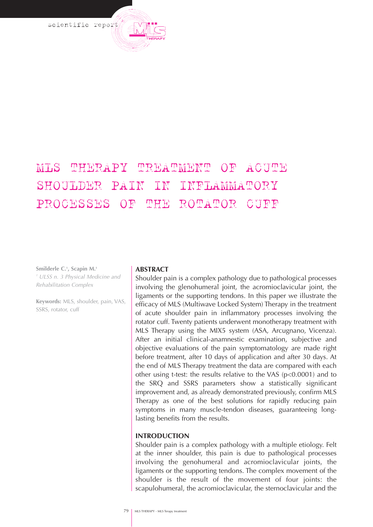# *MLS THERAPY TREATMENT OF ACUTE SHOULDER PAIN IN INFLAMMATORY PROCESSES OF THE ROTATOR CUFF*

**Smilderle C.<sup>1</sup> , Scapin M.<sup>1</sup>** *<sup>1</sup> ULSS n. 3 Physical Medicine and Rehabilitation Complex*

**Keywords:** MLS, shoulder, pain, VAS, SSRS, rotator, cuff

## **ABSTRACT**

Shoulder pain is a complex pathology due to pathological processes involving the glenohumeral joint, the acromioclavicular joint, the ligaments or the supporting tendons. In this paper we illustrate the efficacy of MLS (Multiwave Locked System) Therapy in the treatment of acute shoulder pain in inflammatory processes involving the rotator cuff. Twenty patients underwent monotherapy treatment with MLS Therapy using the MIX5 system (ASA, Arcugnano, Vicenza). After an initial clinical-anamnestic examination, subjective and objective evaluations of the pain symptomatology are made right before treatment, after 10 days of application and after 30 days. At the end of MLS Therapy treatment the data are compared with each other using t-test: the results relative to the VAS (p<0.0001) and to the SRQ and SSRS parameters show a statistically significant improvement and, as already demonstrated previously, confirm MLS Therapy as one of the best solutions for rapidly reducing pain symptoms in many muscle-tendon diseases, guaranteeing longlasting benefits from the results.

## **INTRODUCTION**

Shoulder pain is a complex pathology with a multiple etiology. Felt at the inner shoulder, this pain is due to pathological processes involving the genohumeral and acromioclavicular joints, the ligaments or the supporting tendons. The complex movement of the shoulder is the result of the movement of four joints: the scapulohumeral, the acromioclavicular, the sternoclavicular and the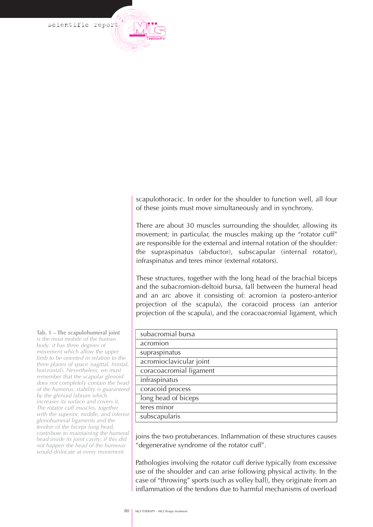scapulothoracic. In order for the shoulder to function well, all four of these joints must move simultaneously and in synchrony.

There are about 30 muscles surrounding the shoulder, allowing its movement; in particular, the muscles making up the "rotator cuff" are responsible for the external and internal rotation of the shoulder: the supraspinatus (abductor), subscapular (internal rotator), infraspinatus and teres minor (external rotators).

These structures, together with the long head of the brachial biceps and the subacromion-deltoid bursa, fall between the humeral head and an arc above it consisting of: acromion (a postero-anterior projection of the scapula), the coracoid process (an anterior projection of the scapula), and the coracoacromial ligament, which

| subacromial bursa       |
|-------------------------|
| acromion                |
| supraspinatus           |
| acromioclavicular joint |
| coracoacromial ligament |
| infraspinatus           |
| coracoid process        |
| long head of biceps     |
| teres minor             |
| subscapularis           |

joins the two protuberances. Inflammation of these structures causes "degenerative syndrome of the rotator cuff".

Pathologies involving the rotator cuff derive typically from excessive use of the shoulder and can arise following physical activity. In the case of "throwing" sports (such as volley ball), they originate from an inflammation of the tendons due to harmful mechanisms of overload

## **Tab. 1 – The scapulohumeral joint**

*is the most mobile of the human body: it has three degrees of movement which allow the upper limb to be oriented in relation to the three planes of space (sagittal, frontal, horizontal). Nevertheless, we must remember that the scapular glenoid does not completely contain the head of the humerus; stability is guaranteed by the glenoid labrum which increases its surface and covers it. The rotator cuff muscles, together with the superior, middle, and inferior glenohumeral ligaments and the tendon of the biceps long head, contribute to maintaining the humeral head inside its joint cavity; if this did not happen the head of the humerus would dislocate at every movement.*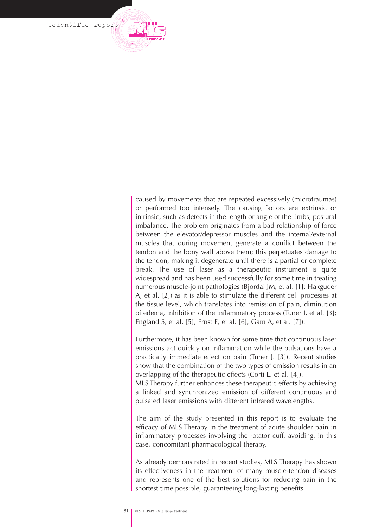caused by movements that are repeated excessively (microtraumas) or performed too intensely. The causing factors are extrinsic or intrinsic, such as defects in the length or angle of the limbs, postural imbalance. The problem originates from a bad relationship of force between the elevator/depressor muscles and the internal/external muscles that during movement generate a conflict between the tendon and the bony wall above them; this perpetuates damage to the tendon, making it degenerate until there is a partial or complete break. The use of laser as a therapeutic instrument is quite widespread and has been used successfully for some time in treating numerous muscle-joint pathologies (Bjordal JM, et al. [1]; Hakguder A, et al. [2]) as it is able to stimulate the different cell processes at the tissue level, which translates into remission of pain, diminution of edema, inhibition of the inflammatory process (Tuner J, et al. [3]; England S, et al. [5]; Ernst E, et al. [6]; Gam A, et al. [7]).

Furthermore, it has been known for some time that continuous laser emissions act quickly on inflammation while the pulsations have a practically immediate effect on pain (Tuner J. [3]). Recent studies show that the combination of the two types of emission results in an overlapping of the therapeutic effects (Corti L. et al. [4]).

MLS Therapy further enhances these therapeutic effects by achieving a linked and synchronized emission of different continuous and pulsated laser emissions with different infrared wavelengths.

The aim of the study presented in this report is to evaluate the efficacy of MLS Therapy in the treatment of acute shoulder pain in inflammatory processes involving the rotator cuff, avoiding, in this case, concomitant pharmacological therapy.

As already demonstrated in recent studies, MLS Therapy has shown its effectiveness in the treatment of many muscle-tendon diseases and represents one of the best solutions for reducing pain in the shortest time possible, guaranteeing long-lasting benefits.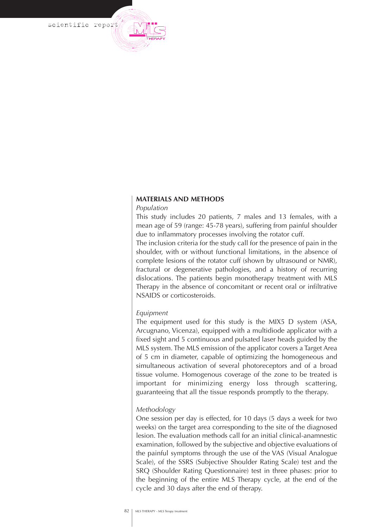## **MATERIALS AND METHODS**

#### *Population*

This study includes 20 patients, 7 males and 13 females, with a mean age of 59 (range: 45-78 years), suffering from painful shoulder due to inflammatory processes involving the rotator cuff.

The inclusion criteria for the study call for the presence of pain in the shoulder, with or without functional limitations, in the absence of complete lesions of the rotator cuff (shown by ultrasound or NMR), fractural or degenerative pathologies, and a history of recurring dislocations. The patients begin monotherapy treatment with MLS Therapy in the absence of concomitant or recent oral or infiltrative NSAIDS or corticosteroids.

#### *Equipment*

The equipment used for this study is the MIX5 D system (ASA, Arcugnano, Vicenza), equipped with a multidiode applicator with a fixed sight and 5 continuous and pulsated laser heads guided by the MLS system. The MLS emission of the applicator covers a Target Area of 5 cm in diameter, capable of optimizing the homogeneous and simultaneous activation of several photoreceptors and of a broad tissue volume. Homogenous coverage of the zone to be treated is important for minimizing energy loss through scattering, guaranteeing that all the tissue responds promptly to the therapy.

#### *Methodology*

One session per day is effected, for 10 days (5 days a week for two weeks) on the target area corresponding to the site of the diagnosed lesion. The evaluation methods call for an initial clinical-anamnestic examination, followed by the subjective and objective evaluations of the painful symptoms through the use of the VAS (Visual Analogue Scale), of the SSRS (Subjective Shoulder Rating Scale) test and the SRQ (Shoulder Rating Questionnaire) test in three phases: prior to the beginning of the entire MLS Therapy cycle, at the end of the cycle and 30 days after the end of therapy.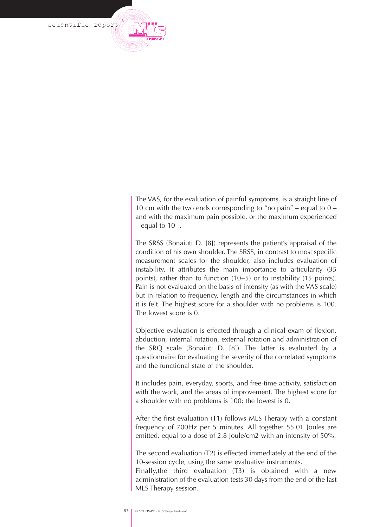The VAS, for the evaluation of painful symptoms, is a straight line of 10 cm with the two ends corresponding to "no pain" – equal to  $0$ and with the maximum pain possible, or the maximum experienced  $-$  equal to 10 -.

The SRSS (Bonaiuti D. [8]) represents the patient's appraisal of the condition of his own shoulder. The SRSS, in contrast to most specific measurement scales for the shoulder, also includes evaluation of instability. It attributes the main importance to articularity (35 points), rather than to function (10+5) or to instability (15 points). Pain is not evaluated on the basis of intensity (as with the VAS scale) but in relation to frequency, length and the circumstances in which it is felt. The highest score for a shoulder with no problems is 100. The lowest score is 0.

Objective evaluation is effected through a clinical exam of flexion, abduction, internal rotation, external rotation and administration of the SRQ scale (Bonaiuti D. [8]). The latter is evaluated by a questionnaire for evaluating the severity of the correlated symptoms and the functional state of the shoulder.

It includes pain, everyday, sports, and free-time activity, satisfaction with the work, and the areas of improvement. The highest score for a shoulder with no problems is 100; the lowest is 0.

After the first evaluation (T1) follows MLS Therapy with a constant frequency of 700Hz per 5 minutes. All together 55.01 Joules are emitted, equal to a dose of 2.8 Joule/cm2 with an intensity of 50%.

The second evaluation (T2) is effected immediately at the end of the 10-session cycle, using the same evaluative instruments.

Finally,the third evaluation (T3) is obtained with a new administration of the evaluation tests 30 days from the end of the last MLS Therapy session.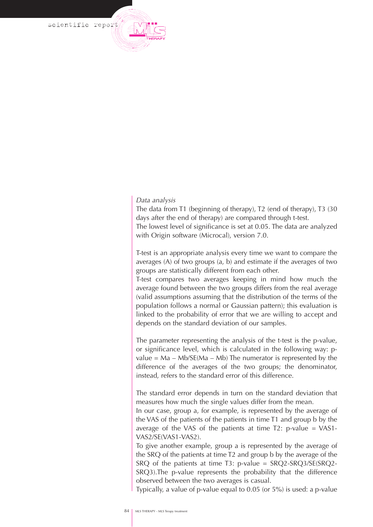## *Data analysis*

The data from T1 (beginning of therapy), T2 (end of therapy), T3 (30 days after the end of therapy) are compared through t-test.

The lowest level of significance is set at 0.05. The data are analyzed with Origin software (Microcal), version 7.0.

T-test is an appropriate analysis every time we want to compare the averages (A) of two groups (a, b) and estimate if the averages of two groups are statistically different from each other.

T-test compares two averages keeping in mind how much the average found between the two groups differs from the real average (valid assumptions assuming that the distribution of the terms of the population follows a normal or Gaussian pattern); this evaluation is linked to the probability of error that we are willing to accept and depends on the standard deviation of our samples.

The parameter representing the analysis of the t-test is the p-value, or significance level, which is calculated in the following way: pvalue =  $Ma - Mb/SE(Ma - Mb)$  The numerator is represented by the difference of the averages of the two groups; the denominator, instead, refers to the standard error of this difference.

The standard error depends in turn on the standard deviation that measures how much the single values differ from the mean.

In our case, group a, for example, is represented by the average of the VAS of the patients of the patients in time T1 and group b by the average of the VAS of the patients at time  $T2$ : p-value = VAS1-VAS2/SE(VAS1-VAS2).

To give another example, group a is represented by the average of the SRQ of the patients at time T2 and group b by the average of the SRQ of the patients at time T3: p-value = SRQ2-SRQ3/SE(SRQ2- SRQ3).The p-value represents the probability that the difference observed between the two averages is casual.

Typically, a value of p-value equal to 0.05 (or 5%) is used: a p-value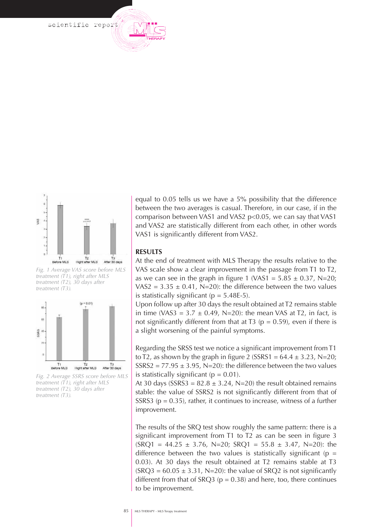

*Fig. 1 Average VAS score before MLS treatment (T1), right after MLS treatment (T2), 30 days after treatment (T3).*



*Fig. 2 Average SSRS score before MLS treatment (T1), right after MLS treatment (T2), 30 days after treatment (T3).*

equal to 0.05 tells us we have a 5% possibility that the difference between the two averages is casual. Therefore, in our case, if in the comparison between VAS1 and VAS2 p<0.05, we can say that VAS1 and VAS2 are statistically different from each other, in other words VAS1 is significantly different from VAS2.

### **RESULTS**

At the end of treatment with MLS Therapy the results relative to the VAS scale show a clear improvement in the passage from T1 to T2, as we can see in the graph in figure 1 (VAS1 =  $5.85 \pm 0.37$ , N=20; VAS2 =  $3.35 \pm 0.41$ , N=20): the difference between the two values is statistically significant ( $p = 5.48E-5$ ).

Upon follow up after 30 days the result obtained at T2 remains stable in time (VAS3 =  $3.7 \pm 0.49$ , N=20): the mean VAS at T2, in fact, is not significantly different from that at T3 ( $p = 0.59$ ), even if there is a slight worsening of the painful symptoms.

Regarding the SRSS test we notice a significant improvement from T1 to T2, as shown by the graph in figure 2 (SSRS1 =  $64.4 \pm 3.23$ , N=20;  $SSRS2 = 77.95 \pm 3.95$ , N=20): the difference between the two values is statistically significant ( $p = 0.01$ ).

At 30 days (SSRS3 =  $82.8 \pm 3.24$ , N=20) the result obtained remains stable: the value of SSRS2 is not significantly different from that of SSRS3 ( $p = 0.35$ ), rather, it continues to increase, witness of a further improvement.

The results of the SRQ test show roughly the same pattern: there is a significant improvement from T1 to T2 as can be seen in figure 3  $(SRQ1 = 44.25 \pm 3.76, N=20; SRQ1 = 55.8 \pm 3.47, N=20)$ : the difference between the two values is statistically significant ( $p =$ 0.03). At 30 days the result obtained at T2 remains stable at T3  $(SRQ3 = 60.05 \pm 3.31, N=20)$ : the value of SRQ2 is not significantly different from that of  $S RQ3$  ( $p = 0.38$ ) and here, too, there continues to be improvement.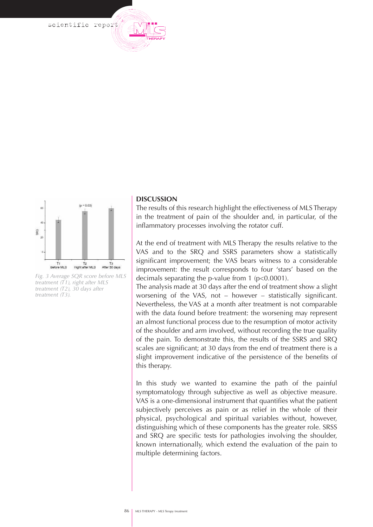

*Fig. 3 Average SQR score before MLS treatment (T1), right after MLS treatment (T2), 30 days after treatment (T3).*

### **DISCUSSION**

The results of this research highlight the effectiveness of MLS Therapy in the treatment of pain of the shoulder and, in particular, of the inflammatory processes involving the rotator cuff.

At the end of treatment with MLS Therapy the results relative to the VAS and to the SRQ and SSRS parameters show a statistically significant improvement; the VAS bears witness to a considerable improvement: the result corresponds to four 'stars' based on the decimals separating the p-value from 1  $(p<0.0001)$ .

The analysis made at 30 days after the end of treatment show a slight worsening of the VAS, not – however – statistically significant. Nevertheless, the VAS at a month after treatment is not comparable with the data found before treatment: the worsening may represent an almost functional process due to the resumption of motor activity of the shoulder and arm involved, without recording the true quality of the pain. To demonstrate this, the results of the SSRS and SRQ scales are significant; at 30 days from the end of treatment there is a slight improvement indicative of the persistence of the benefits of this therapy.

In this study we wanted to examine the path of the painful symptomatology through subjective as well as objective measure. VAS is a one-dimensional instrument that quantifies what the patient subjectively perceives as pain or as relief in the whole of their physical, psychological and spiritual variables without, however, distinguishing which of these components has the greater role. SRSS and SRQ are specific tests for pathologies involving the shoulder, known internationally, which extend the evaluation of the pain to multiple determining factors.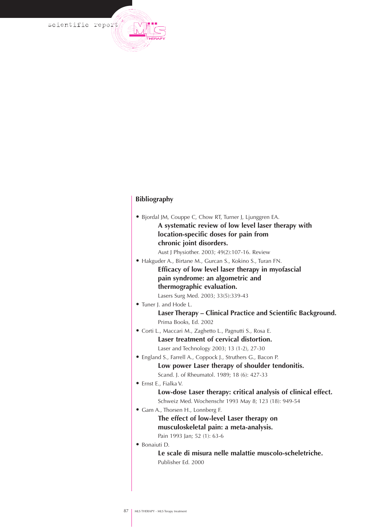Á

THER

## **Bibliography**

| · Bjordal JM, Couppe C, Chow RT, Turner J, Ljunggren EA.      |
|---------------------------------------------------------------|
| A systematic review of low level laser therapy with           |
| location-specific doses for pain from                         |
| chronic joint disorders.                                      |
| Aust J Physiother. 2003; 49(2):107-16. Review                 |
| · Hakguder A., Birtane M., Gurcan S., Kokino S., Turan FN.    |
| Efficacy of low level laser therapy in myofascial             |
| pain syndrome: an algometric and                              |
| thermographic evaluation.                                     |
| Lasers Surg Med. 2003; 33(5):339-43                           |
| • Tuner J. and Hode L.                                        |
| Laser Therapy – Clinical Practice and Scientific Background.  |
| Prima Books, Ed. 2002                                         |
| · Corti L., Maccari M., Zaghetto L., Pagnutti S., Rosa E.     |
| Laser treatment of cervical distortion.                       |
| Laser and Technology 2003; 13 (1-2), 27-30                    |
| • England S., Farrell A., Coppock J., Struthers G., Bacon P.  |
| Low power Laser therapy of shoulder tendonitis.               |
| Scand. J. of Rheumatol. 1989; 18 (6): 427-33                  |
| • Ernst E., Fialka V.                                         |
| Low-dose Laser therapy: critical analysis of clinical effect. |
| Schweiz Med. Wochenschr 1993 May 8; 123 (18): 949-54          |
| • Gam A., Thorsen H., Lonnberg F.                             |
| The effect of low-level Laser therapy on                      |
| musculoskeletal pain: a meta-analysis.                        |
| Pain 1993 Jan; 52 (1): 63-6                                   |
| • Bonaiuti D.                                                 |
| Le scale di misura nelle malattie muscolo-scheletriche.       |
| Publisher Ed. 2000                                            |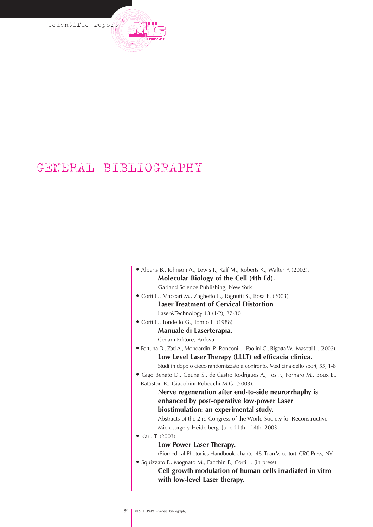r *scientific report* À THERAP

# *GENERAL BIBLIOGRAPHY*

| • Alberts B., Johnson A., Lewis J., Raff M., Roberts K., Walter P. (2002).                   |
|----------------------------------------------------------------------------------------------|
| Molecular Biology of the Cell (4th Ed).                                                      |
| Garland Science Publishing, New York                                                         |
| • Corti L., Maccari M., Zaghetto L., Pagnutti S., Rosa E. (2003).                            |
| <b>Laser Treatment of Cervical Distortion</b>                                                |
| Laser&Technology 13 (1/2), 27-30                                                             |
| · Corti L., Tondello G., Tomio L. (1988).                                                    |
| Manuale di Laserterapia.                                                                     |
| Cedam Editore, Padova                                                                        |
| • Fortuna D., Zati A., Mondardini P., Ronconi L., Paolini C., Bigotta W., Masotti L. (2002). |
| Low Level Laser Therapy (LLLT) ed efficacia clinica.                                         |
| Studi in doppio cieco randomizzato a confronto. Medicina dello sport; 55, 1-8                |
| · Gigo Benato D., Geuna S., de Castro Rodrigues A., Tos P., Fornaro M., Boux E.,             |
| Battiston B., Giacobini-Robecchi M.G. (2003).                                                |
| Nerve regeneration after end-to-side neurorrhaphy is                                         |
| enhanced by post-operative low-power Laser                                                   |
| biostimulation: an experimental study.                                                       |
| Abstracts of the 2nd Congress of the World Society for Reconstructive                        |
| Microsurgery Heidelberg, June 11th - 14th, 2003                                              |
| • Karu T. (2003).                                                                            |
| Low Power Laser Therapy.                                                                     |
| (Biomedical Photonics Handbook, chapter 48, Tuan V. editor). CRC Press, NY                   |
| • Squizzato F., Mognato M., Facchin F., Corti L. (in press)                                  |
|                                                                                              |
| Cell growth modulation of human cells irradiated in vitro                                    |
| with low-level Laser therapy.                                                                |